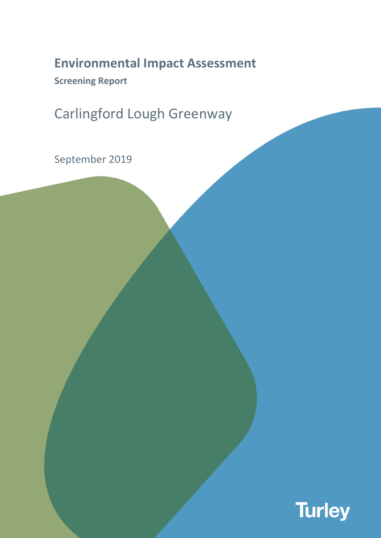# **Environmental Impact Assessment**

**Screening Report**

Carlingford Lough Greenway

September 2019

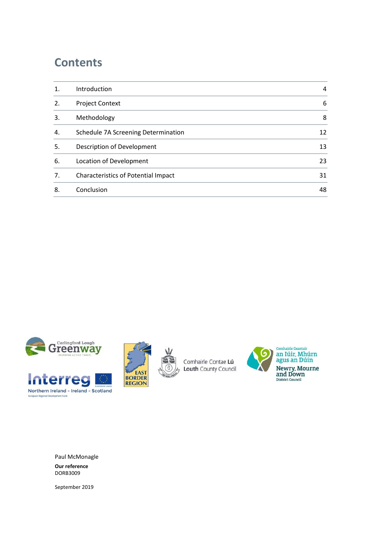# **Contents**

| $\mathbf 1$ . | Introduction                               | 4  |
|---------------|--------------------------------------------|----|
| 2.            | <b>Project Context</b>                     | 6  |
| 3.            | Methodology                                | 8  |
| 4.            | Schedule 7A Screening Determination        | 12 |
| 5.            | Description of Development                 | 13 |
| 6.            | Location of Development                    | 23 |
| 7.            | <b>Characteristics of Potential Impact</b> | 31 |
| 8.            | Conclusion                                 | 48 |





Comhairle Contae Lú Louth County Council



Paul McMonagle **Our reference** DORB3009

September 2019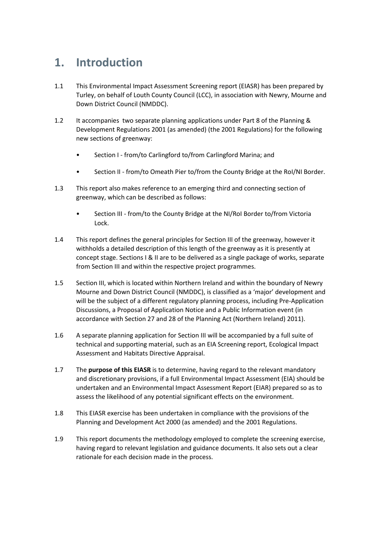# <span id="page-3-0"></span>**1. Introduction**

- 1.1 This Environmental Impact Assessment Screening report (EIASR) has been prepared by Turley, on behalf of Louth County Council (LCC), in association with Newry, Mourne and Down District Council (NMDDC).
- 1.2 It accompanies two separate planning applications under Part 8 of the Planning & Development Regulations 2001 (as amended) (the 2001 Regulations) for the following new sections of greenway:
	- Section I from/to Carlingford to/from Carlingford Marina; and
	- Section II from/to Omeath Pier to/from the County Bridge at the RoI/NI Border.
- 1.3 This report also makes reference to an emerging third and connecting section of greenway, which can be described as follows:
	- Section III from/to the County Bridge at the NI/RoI Border to/from Victoria Lock.
- 1.4 This report defines the general principles for Section III of the greenway, however it withholds a detailed description of this length of the greenway as it is presently at concept stage. Sections I & II are to be delivered as a single package of works, separate from Section III and within the respective project programmes.
- 1.5 Section III, which is located within Northern Ireland and within the boundary of Newry Mourne and Down District Council (NMDDC), is classified as a 'major' development and will be the subject of a different regulatory planning process, including Pre-Application Discussions, a Proposal of Application Notice and a Public Information event (in accordance with Section 27 and 28 of the Planning Act (Northern Ireland) 2011).
- 1.6 A separate planning application for Section III will be accompanied by a full suite of technical and supporting material, such as an EIA Screening report, Ecological Impact Assessment and Habitats Directive Appraisal.
- 1.7 The **purpose of this EIASR** is to determine, having regard to the relevant mandatory and discretionary provisions, if a full Environmental Impact Assessment (EIA) should be undertaken and an Environmental Impact Assessment Report (EIAR) prepared so as to assess the likelihood of any potential significant effects on the environment.
- 1.8 This EIASR exercise has been undertaken in compliance with the provisions of the Planning and Development Act 2000 (as amended) and the 2001 Regulations.
- 1.9 This report documents the methodology employed to complete the screening exercise, having regard to relevant legislation and guidance documents. It also sets out a clear rationale for each decision made in the process.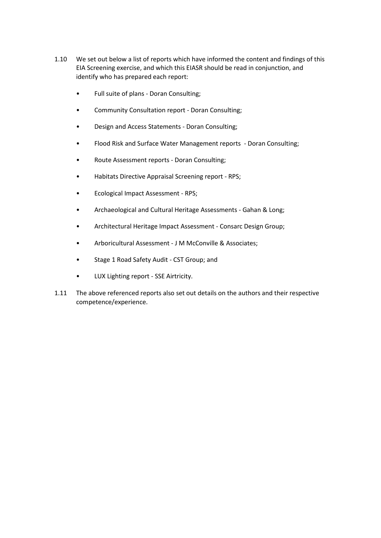- 1.10 We set out below a list of reports which have informed the content and findings of this EIA Screening exercise, and which this EIASR should be read in conjunction, and identify who has prepared each report:
	- Full suite of plans Doran Consulting;
	- Community Consultation report Doran Consulting;
	- Design and Access Statements Doran Consulting;
	- Flood Risk and Surface Water Management reports Doran Consulting;
	- Route Assessment reports Doran Consulting;
	- Habitats Directive Appraisal Screening report RPS;
	- Ecological Impact Assessment RPS;
	- Archaeological and Cultural Heritage Assessments Gahan & Long;
	- Architectural Heritage Impact Assessment Consarc Design Group;
	- Arboricultural Assessment J M McConville & Associates;
	- Stage 1 Road Safety Audit CST Group; and
	- LUX Lighting report SSE Airtricity.
- 1.11 The above referenced reports also set out details on the authors and their respective competence/experience.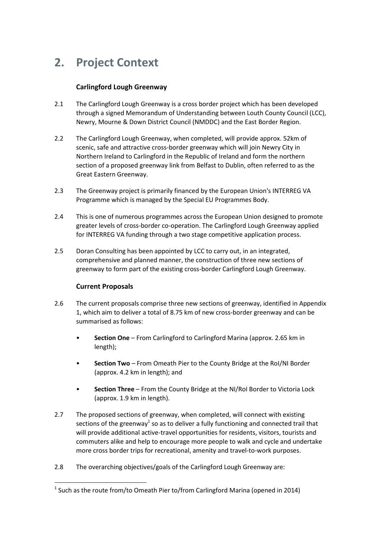# <span id="page-5-0"></span>**2. Project Context**

# **Carlingford Lough Greenway**

- 2.1 The Carlingford Lough Greenway is a cross border project which has been developed through a signed Memorandum of Understanding between Louth County Council (LCC), Newry, Mourne & Down District Council (NMDDC) and the East Border Region.
- 2.2 The Carlingford Lough Greenway, when completed, will provide approx. 52km of scenic, safe and attractive cross-border greenway which will join Newry City in Northern Ireland to Carlingford in the Republic of Ireland and form the northern section of a proposed greenway link from Belfast to Dublin, often referred to as the Great Eastern Greenway.
- 2.3 The Greenway project is primarily financed by the European Union's INTERREG VA Programme which is managed by the Special EU Programmes Body.
- 2.4 This is one of numerous programmes across the European Union designed to promote greater levels of cross-border co-operation. The Carlingford Lough Greenway applied for INTERREG VA funding through a two stage competitive application process.
- 2.5 Doran Consulting has been appointed by LCC to carry out, in an integrated, comprehensive and planned manner, the construction of three new sections of greenway to form part of the existing cross-border Carlingford Lough Greenway.

# **Current Proposals**

- 2.6 The current proposals comprise three new sections of greenway, identified in Appendix 1, which aim to deliver a total of 8.75 km of new cross-border greenway and can be summarised as follows:
	- **Section One** From Carlingford to Carlingford Marina (approx. 2.65 km in length);
	- **Section Two** From Omeath Pier to the County Bridge at the RoI/NI Border (approx. 4.2 km in length); and
	- **Section Three** From the County Bridge at the NI/RoI Border to Victoria Lock (approx. 1.9 km in length).
- 2.7 The proposed sections of greenway, when completed, will connect with existing sections of the greenway $^1$  so as to deliver a fully functioning and connected trail that will provide additional active-travel opportunities for residents, visitors, tourists and commuters alike and help to encourage more people to walk and cycle and undertake more cross border trips for recreational, amenity and travel-to-work purposes.
- 2.8 The overarching objectives/goals of the Carlingford Lough Greenway are:

**<sup>.</sup>**  $<sup>1</sup>$  Such as the route from/to Omeath Pier to/from Carlingford Marina (opened in 2014)</sup>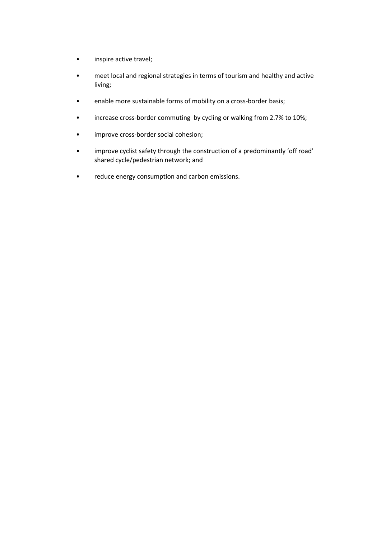- inspire active travel;
- meet local and regional strategies in terms of tourism and healthy and active living;
- enable more sustainable forms of mobility on a cross-border basis;
- increase cross-border commuting by cycling or walking from 2.7% to 10%;
- improve cross-border social cohesion;
- improve cyclist safety through the construction of a predominantly 'off road' shared cycle/pedestrian network; and
- reduce energy consumption and carbon emissions.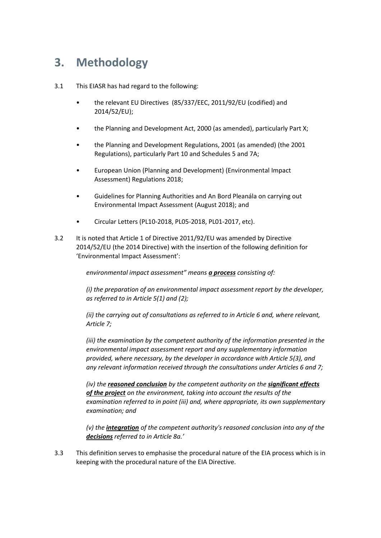# <span id="page-7-0"></span>**3. Methodology**

- 3.1 This EIASR has had regard to the following:
	- the relevant EU Directives (85/337/EEC, 2011/92/EU (codified) and 2014/52/EU);
	- the Planning and Development Act, 2000 (as amended), particularly Part X;
	- the Planning and Development Regulations, 2001 (as amended) (the 2001 Regulations), particularly Part 10 and Schedules 5 and 7A;
	- European Union (Planning and Development) (Environmental Impact Assessment) Regulations 2018;
	- Guidelines for Planning Authorities and An Bord Pleanála on carrying out Environmental Impact Assessment (August 2018); and
	- Circular Letters (PL10-2018, PL05-2018, PL01-2017, etc).
- 3.2 It is noted that Article 1 of Directive 2011/92/EU was amended by Directive 2014/52/EU (the 2014 Directive) with the insertion of the following definition for 'Environmental Impact Assessment':

*environmental impact assessment" means a process consisting of:*

*(i) the preparation of an environmental impact assessment report by the developer, as referred to in Article 5(1) and (2);*

*(ii) the carrying out of consultations as referred to in Article 6 and, where relevant, Article 7;*

*(iii) the examination by the competent authority of the information presented in the environmental impact assessment report and any supplementary information provided, where necessary, by the developer in accordance with Article 5(3), and any relevant information received through the consultations under Articles 6 and 7;*

*(iv) the reasoned conclusion by the competent authority on the significant effects of the project on the environment, taking into account the results of the examination referred to in point (iii) and, where appropriate, its own supplementary examination; and*

*(v) the integration of the competent authority's reasoned conclusion into any of the decisions referred to in Article 8a.'*

3.3 This definition serves to emphasise the procedural nature of the EIA process which is in keeping with the procedural nature of the EIA Directive.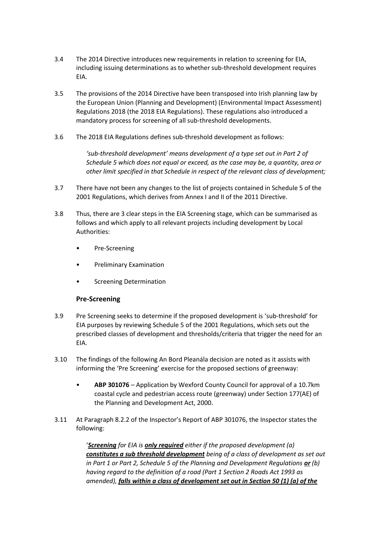- 3.4 The 2014 Directive introduces new requirements in relation to screening for EIA, including issuing determinations as to whether sub-threshold development requires EIA.
- 3.5 The provisions of the 2014 Directive have been transposed into Irish planning law by the European Union (Planning and Development) (Environmental Impact Assessment) Regulations 2018 (the 2018 EIA Regulations). These regulations also introduced a mandatory process for screening of all sub-threshold developments.
- 3.6 The 2018 EIA Regulations defines sub-threshold development as follows:

*'sub-threshold development' means development of a type set out in Part 2 of Schedule 5 which does not equal or exceed, as the case may be, a quantity, area or other limit specified in that Schedule in respect of the relevant class of development;*

- 3.7 There have not been any changes to the list of projects contained in Schedule 5 of the 2001 Regulations, which derives from Annex I and II of the 2011 Directive.
- 3.8 Thus, there are 3 clear steps in the EIA Screening stage, which can be summarised as follows and which apply to all relevant projects including development by Local Authorities:
	- Pre-Screening
	- Preliminary Examination
	- **Screening Determination**

#### **Pre-Screening**

- 3.9 Pre Screening seeks to determine if the proposed development is 'sub-threshold' for EIA purposes by reviewing Schedule 5 of the 2001 Regulations, which sets out the prescribed classes of development and thresholds/criteria that trigger the need for an EIA.
- 3.10 The findings of the following An Bord Pleanála decision are noted as it assists with informing the 'Pre Screening' exercise for the proposed sections of greenway:
	- **ABP 301076** Application by Wexford County Council for approval of a 10.7km coastal cycle and pedestrian access route (greenway) under Section 177(AE) of the Planning and Development Act, 2000.
- 3.11 At Paragraph 8.2.2 of the Inspector's Report of ABP 301076, the Inspector states the following:

'*Screening for EIA is only required either if the proposed development (a) constitutes a sub threshold development being of a class of development as set out in Part 1 or Part 2, Schedule 5 of the Planning and Development Regulations or (b) having regard to the definition of a road (Part 1 Section 2 Roads Act 1993 as amended), falls within a class of development set out in Section 50 (1) (a) of the*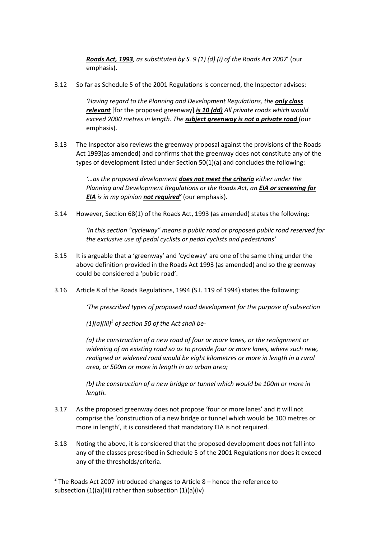*Roads Act, 1993, as substituted by S. 9 (1) (d) (i) of the Roads Act 2007*' (our emphasis).

3.12 So far as Schedule 5 of the 2001 Regulations is concerned, the Inspector advises:

*'Having regard to the Planning and Development Regulations, the only class relevant* [for the proposed greenway] *is 10 (dd) All private roads which would exceed 2000 metres in length. The subject greenway is not a private road* (our emphasis).

3.13 The Inspector also reviews the greenway proposal against the provisions of the Roads Act 1993(as amended) and confirms that the greenway does not constitute any of the types of development listed under Section 50(1)(a) and concludes the following:

> *'…as the proposed development does not meet the criteria either under the Planning and Development Regulations or the Roads Act, an EIA or screening for EIA is in my opinion not required'* (our emphasis)*.*

3.14 However, Section 68(1) of the Roads Act, 1993 (as amended) states the following:

*'In this section "cycleway" means a public road or proposed public road reserved for the exclusive use of pedal cyclists or pedal cyclists and pedestrians'*

- 3.15 It is arguable that a 'greenway' and 'cycleway' are one of the same thing under the above definition provided in the Roads Act 1993 (as amended) and so the greenway could be considered a 'public road'.
- 3.16 Article 8 of the Roads Regulations, 1994 (S.I. 119 of 1994) states the following:

*'The prescribed types of proposed road development for the purpose of subsection*

*(1)(a)(iii)<sup>2</sup> of section 50 of the Act shall be-*

*(a) the construction of a new road of four or more lanes, or the realignment or widening of an existing road so as to provide four or more lanes, where such new, realigned or widened road would be eight kilometres or more in length in a rural area, or 500m or more in length in an urban area;*

*(b) the construction of a new bridge or tunnel which would be 100m or more in length.*

- 3.17 As the proposed greenway does not propose 'four or more lanes' and it will not comprise the 'construction of a new bridge or tunnel which would be 100 metres or more in length', it is considered that mandatory EIA is not required.
- 3.18 Noting the above, it is considered that the proposed development does not fall into any of the classes prescribed in Schedule 5 of the 2001 Regulations nor does it exceed any of the thresholds/criteria.

1

 $2$  The Roads Act 2007 introduced changes to Article 8 – hence the reference to subsection (1)(a)(iii) rather than subsection (1)(a)(iv)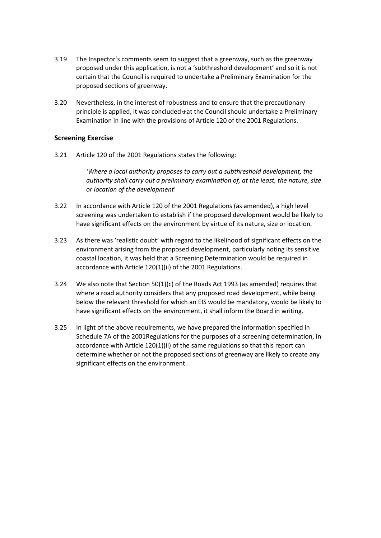- 3.19 The Inspector's comments seem to suggest that a greenway, such as the greenway proposed under this application, is not a 'subthreshold development' and so it is not certain that the Council is required to undertake a Preliminary Examination for the proposed sections of greenway.
- 3.20 Nevertheless, in the interest of robustness and to ensure that the precautionary principle is applied, it was concluded that the Council should undertake a Preliminary Examination in line with the provisions of Article 120 of the 2001 Regulations.

#### **Screening Exercise**

3.21 Article 120 of the 2001 Regulations states the following:

*'Where a local authority proposes to carry out a subthreshold development, the authority shall carry out a preliminary examination of, at the least, the nature, size or location of the development*'

- 3.22 In accordance with Article 120 of the 2001 Regulations (as amended), a high level screening was undertaken to establish if the proposed development would be likely to have significant effects on the environment by virtue of its nature, size or location.
- 3.23 As there was 'realistic doubt' with regard to the likelihood of significant effects on the environment arising from the proposed development, particularly noting its sensitive coastal location, it was held that a Screening Determination would be required in accordance with Article 120(1)(ii) of the 2001 Regulations.
- 3.24 We also note that Section 50(1)(c) of the Roads Act 1993 (as amended) requires that where a road authority considers that any proposed road development, while being below the relevant threshold for which an EIS would be mandatory, would be likely to have significant effects on the environment, it shall inform the Board in writing.
- 3.25 In light of the above requirements, we have prepared the information specified in Schedule 7A of the 2001Regulations for the purposes of a screening determination, in accordance with Article 120(1)(ii) of the same regulations so that this report can determine whether or not the proposed sections of greenway are likely to create any significant effects on the environment.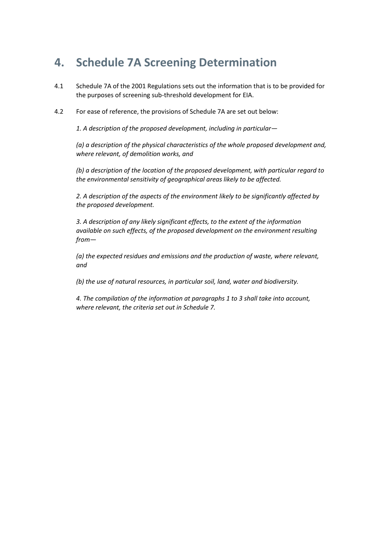# <span id="page-11-0"></span>**4. Schedule 7A Screening Determination**

- 4.1 Schedule 7A of the 2001 Regulations sets out the information that is to be provided for the purposes of screening sub-threshold development for EIA.
- 4.2 For ease of reference, the provisions of Schedule 7A are set out below:

*1. A description of the proposed development, including in particular—*

*(a) a description of the physical characteristics of the whole proposed development and, where relevant, of demolition works, and* 

*(b) a description of the location of the proposed development, with particular regard to the environmental sensitivity of geographical areas likely to be affected.* 

*2. A description of the aspects of the environment likely to be significantly affected by the proposed development.* 

*3. A description of any likely significant effects, to the extent of the information available on such effects, of the proposed development on the environment resulting from—*

*(a) the expected residues and emissions and the production of waste, where relevant, and* 

*(b) the use of natural resources, in particular soil, land, water and biodiversity.* 

*4. The compilation of the information at paragraphs 1 to 3 shall take into account, where relevant, the criteria set out in Schedule 7.*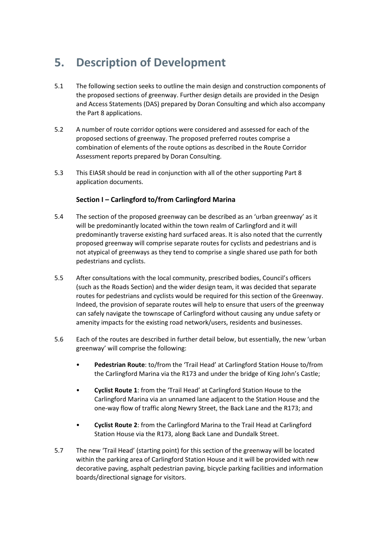# <span id="page-12-0"></span>**5. Description of Development**

- 5.1 The following section seeks to outline the main design and construction components of the proposed sections of greenway. Further design details are provided in the Design and Access Statements (DAS) prepared by Doran Consulting and which also accompany the Part 8 applications.
- 5.2 A number of route corridor options were considered and assessed for each of the proposed sections of greenway. The proposed preferred routes comprise a combination of elements of the route options as described in the Route Corridor Assessment reports prepared by Doran Consulting.
- 5.3 This EIASR should be read in conjunction with all of the other supporting Part 8 application documents.

# **Section I – Carlingford to/from Carlingford Marina**

- 5.4 The section of the proposed greenway can be described as an 'urban greenway' as it will be predominantly located within the town realm of Carlingford and it will predominantly traverse existing hard surfaced areas. It is also noted that the currently proposed greenway will comprise separate routes for cyclists and pedestrians and is not atypical of greenways as they tend to comprise a single shared use path for both pedestrians and cyclists.
- 5.5 After consultations with the local community, prescribed bodies, Council's officers (such as the Roads Section) and the wider design team, it was decided that separate routes for pedestrians and cyclists would be required for this section of the Greenway. Indeed, the provision of separate routes will help to ensure that users of the greenway can safely navigate the townscape of Carlingford without causing any undue safety or amenity impacts for the existing road network/users, residents and businesses.
- 5.6 Each of the routes are described in further detail below, but essentially, the new 'urban greenway' will comprise the following:
	- **Pedestrian Route**: to/from the 'Trail Head' at Carlingford Station House to/from the Carlingford Marina via the R173 and under the bridge of King John's Castle;
	- **Cyclist Route 1**: from the 'Trail Head' at Carlingford Station House to the Carlingford Marina via an unnamed lane adjacent to the Station House and the one-way flow of traffic along Newry Street, the Back Lane and the R173; and
	- **Cyclist Route 2**: from the Carlingford Marina to the Trail Head at Carlingford Station House via the R173, along Back Lane and Dundalk Street.
- 5.7 The new 'Trail Head' (starting point) for this section of the greenway will be located within the parking area of Carlingford Station House and it will be provided with new decorative paving, asphalt pedestrian paving, bicycle parking facilities and information boards/directional signage for visitors.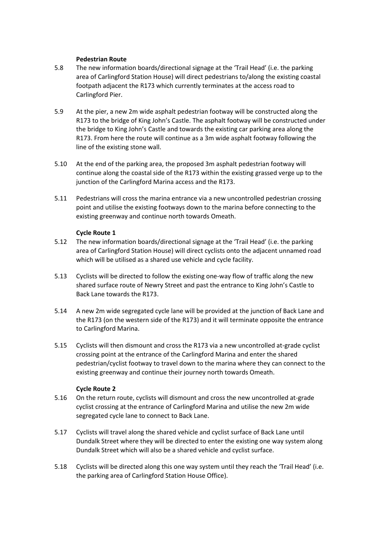#### **Pedestrian Route**

- 5.8 The new information boards/directional signage at the 'Trail Head' (i.e. the parking area of Carlingford Station House) will direct pedestrians to/along the existing coastal footpath adjacent the R173 which currently terminates at the access road to Carlingford Pier.
- 5.9 At the pier, a new 2m wide asphalt pedestrian footway will be constructed along the R173 to the bridge of King John's Castle. The asphalt footway will be constructed under the bridge to King John's Castle and towards the existing car parking area along the R173. From here the route will continue as a 3m wide asphalt footway following the line of the existing stone wall.
- 5.10 At the end of the parking area, the proposed 3m asphalt pedestrian footway will continue along the coastal side of the R173 within the existing grassed verge up to the junction of the Carlingford Marina access and the R173.
- 5.11 Pedestrians will cross the marina entrance via a new uncontrolled pedestrian crossing point and utilise the existing footways down to the marina before connecting to the existing greenway and continue north towards Omeath.

# **Cycle Route 1**

- 5.12 The new information boards/directional signage at the 'Trail Head' (i.e. the parking area of Carlingford Station House) will direct cyclists onto the adjacent unnamed road which will be utilised as a shared use vehicle and cycle facility.
- 5.13 Cyclists will be directed to follow the existing one-way flow of traffic along the new shared surface route of Newry Street and past the entrance to King John's Castle to Back Lane towards the R173.
- 5.14 A new 2m wide segregated cycle lane will be provided at the junction of Back Lane and the R173 (on the western side of the R173) and it will terminate opposite the entrance to Carlingford Marina.
- 5.15 Cyclists will then dismount and cross the R173 via a new uncontrolled at-grade cyclist crossing point at the entrance of the Carlingford Marina and enter the shared pedestrian/cyclist footway to travel down to the marina where they can connect to the existing greenway and continue their journey north towards Omeath.

# **Cycle Route 2**

- 5.16 On the return route, cyclists will dismount and cross the new uncontrolled at-grade cyclist crossing at the entrance of Carlingford Marina and utilise the new 2m wide segregated cycle lane to connect to Back Lane.
- 5.17 Cyclists will travel along the shared vehicle and cyclist surface of Back Lane until Dundalk Street where they will be directed to enter the existing one way system along Dundalk Street which will also be a shared vehicle and cyclist surface.
- 5.18 Cyclists will be directed along this one way system until they reach the 'Trail Head' (i.e. the parking area of Carlingford Station House Office).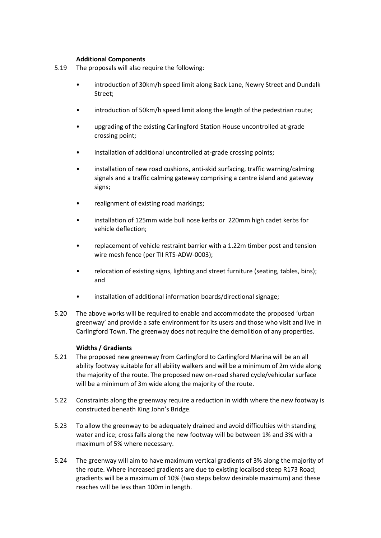#### **Additional Components**

- 5.19 The proposals will also require the following:
	- introduction of 30km/h speed limit along Back Lane, Newry Street and Dundalk Street;
	- introduction of 50km/h speed limit along the length of the pedestrian route;
	- upgrading of the existing Carlingford Station House uncontrolled at-grade crossing point;
	- installation of additional uncontrolled at-grade crossing points;
	- installation of new road cushions, anti-skid surfacing, traffic warning/calming signals and a traffic calming gateway comprising a centre island and gateway signs;
	- realignment of existing road markings;
	- installation of 125mm wide bull nose kerbs or 220mm high cadet kerbs for vehicle deflection;
	- replacement of vehicle restraint barrier with a 1.22m timber post and tension wire mesh fence (per TII RTS-ADW-0003);
	- relocation of existing signs, lighting and street furniture (seating, tables, bins); and
	- installation of additional information boards/directional signage;
- 5.20 The above works will be required to enable and accommodate the proposed 'urban greenway' and provide a safe environment for its users and those who visit and live in Carlingford Town. The greenway does not require the demolition of any properties.

# **Widths / Gradients**

- 5.21 The proposed new greenway from Carlingford to Carlingford Marina will be an all ability footway suitable for all ability walkers and will be a minimum of 2m wide along the majority of the route. The proposed new on-road shared cycle/vehicular surface will be a minimum of 3m wide along the majority of the route.
- 5.22 Constraints along the greenway require a reduction in width where the new footway is constructed beneath King John's Bridge.
- 5.23 To allow the greenway to be adequately drained and avoid difficulties with standing water and ice; cross falls along the new footway will be between 1% and 3% with a maximum of 5% where necessary.
- 5.24 The greenway will aim to have maximum vertical gradients of 3% along the majority of the route. Where increased gradients are due to existing localised steep R173 Road; gradients will be a maximum of 10% (two steps below desirable maximum) and these reaches will be less than 100m in length.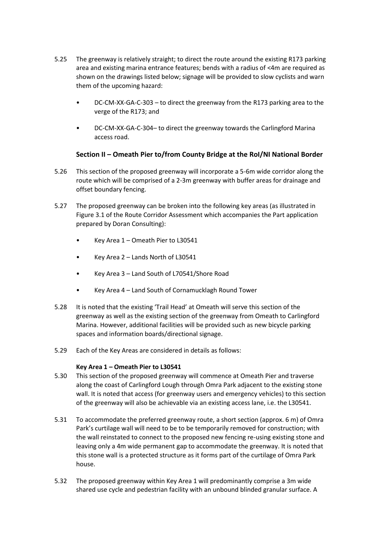- 5.25 The greenway is relatively straight; to direct the route around the existing R173 parking area and existing marina entrance features; bends with a radius of <4m are required as shown on the drawings listed below; signage will be provided to slow cyclists and warn them of the upcoming hazard:
	- DC-CM-XX-GA-C-303 to direct the greenway from the R173 parking area to the verge of the R173; and
	- DC-CM-XX-GA-C-304– to direct the greenway towards the Carlingford Marina access road.

# **Section II – Omeath Pier to/from County Bridge at the RoI/NI National Border**

- 5.26 This section of the proposed greenway will incorporate a 5-6m wide corridor along the route which will be comprised of a 2-3m greenway with buffer areas for drainage and offset boundary fencing.
- 5.27 The proposed greenway can be broken into the following key areas (as illustrated in Figure 3.1 of the Route Corridor Assessment which accompanies the Part application prepared by Doran Consulting):
	- Key Area 1 Omeath Pier to L30541
	- Key Area 2 Lands North of L30541
	- Key Area 3 Land South of L70541/Shore Road
	- Key Area 4 Land South of Cornamucklagh Round Tower
- 5.28 It is noted that the existing 'Trail Head' at Omeath will serve this section of the greenway as well as the existing section of the greenway from Omeath to Carlingford Marina. However, additional facilities will be provided such as new bicycle parking spaces and information boards/directional signage.
- 5.29 Each of the Key Areas are considered in details as follows:

# **Key Area 1 – Omeath Pier to L30541**

- 5.30 This section of the proposed greenway will commence at Omeath Pier and traverse along the coast of Carlingford Lough through Omra Park adjacent to the existing stone wall. It is noted that access (for greenway users and emergency vehicles) to this section of the greenway will also be achievable via an existing access lane, i.e. the L30541.
- 5.31 To accommodate the preferred greenway route, a short section (approx. 6 m) of Omra Park's curtilage wall will need to be to be temporarily removed for construction; with the wall reinstated to connect to the proposed new fencing re-using existing stone and leaving only a 4m wide permanent gap to accommodate the greenway. It is noted that this stone wall is a protected structure as it forms part of the curtilage of Omra Park house.
- 5.32 The proposed greenway within Key Area 1 will predominantly comprise a 3m wide shared use cycle and pedestrian facility with an unbound blinded granular surface. A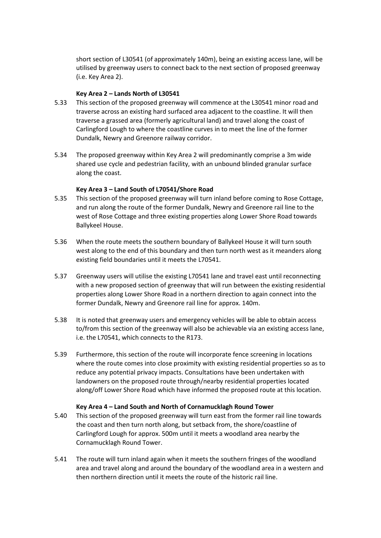short section of L30541 (of approximately 140m), being an existing access lane, will be utilised by greenway users to connect back to the next section of proposed greenway (i.e. Key Area 2).

#### **Key Area 2 – Lands North of L30541**

- 5.33 This section of the proposed greenway will commence at the L30541 minor road and traverse across an existing hard surfaced area adjacent to the coastline. It will then traverse a grassed area (formerly agricultural land) and travel along the coast of Carlingford Lough to where the coastline curves in to meet the line of the former Dundalk, Newry and Greenore railway corridor.
- 5.34 The proposed greenway within Key Area 2 will predominantly comprise a 3m wide shared use cycle and pedestrian facility, with an unbound blinded granular surface along the coast.

# **Key Area 3 – Land South of L70541/Shore Road**

- 5.35 This section of the proposed greenway will turn inland before coming to Rose Cottage, and run along the route of the former Dundalk, Newry and Greenore rail line to the west of Rose Cottage and three existing properties along Lower Shore Road towards Ballykeel House.
- 5.36 When the route meets the southern boundary of Ballykeel House it will turn south west along to the end of this boundary and then turn north west as it meanders along existing field boundaries until it meets the L70541.
- 5.37 Greenway users will utilise the existing L70541 lane and travel east until reconnecting with a new proposed section of greenway that will run between the existing residential properties along Lower Shore Road in a northern direction to again connect into the former Dundalk, Newry and Greenore rail line for approx. 140m.
- 5.38 It is noted that greenway users and emergency vehicles will be able to obtain access to/from this section of the greenway will also be achievable via an existing access lane, i.e. the L70541, which connects to the R173.
- 5.39 Furthermore, this section of the route will incorporate fence screening in locations where the route comes into close proximity with existing residential properties so as to reduce any potential privacy impacts. Consultations have been undertaken with landowners on the proposed route through/nearby residential properties located along/off Lower Shore Road which have informed the proposed route at this location.

#### **Key Area 4 – Land South and North of Cornamucklagh Round Tower**

- 5.40 This section of the proposed greenway will turn east from the former rail line towards the coast and then turn north along, but setback from, the shore/coastline of Carlingford Lough for approx. 500m until it meets a woodland area nearby the Cornamucklagh Round Tower.
- 5.41 The route will turn inland again when it meets the southern fringes of the woodland area and travel along and around the boundary of the woodland area in a western and then northern direction until it meets the route of the historic rail line.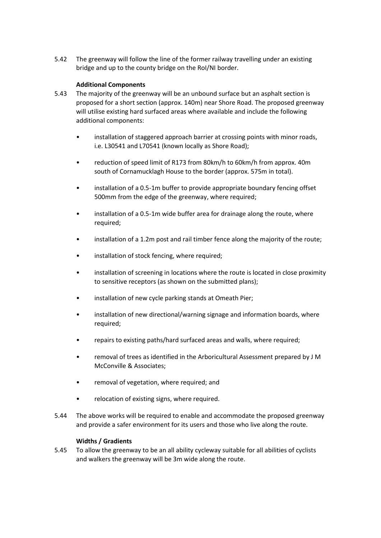5.42 The greenway will follow the line of the former railway travelling under an existing bridge and up to the county bridge on the RoI/NI border.

#### **Additional Components**

- 5.43 The majority of the greenway will be an unbound surface but an asphalt section is proposed for a short section (approx. 140m) near Shore Road. The proposed greenway will utilise existing hard surfaced areas where available and include the following additional components:
	- installation of staggered approach barrier at crossing points with minor roads, i.e. L30541 and L70541 (known locally as Shore Road);
	- reduction of speed limit of R173 from 80km/h to 60km/h from approx. 40m south of Cornamucklagh House to the border (approx. 575m in total).
	- installation of a 0.5-1m buffer to provide appropriate boundary fencing offset 500mm from the edge of the greenway, where required;
	- installation of a 0.5-1m wide buffer area for drainage along the route, where required;
	- installation of a 1.2m post and rail timber fence along the majority of the route;
	- installation of stock fencing, where required;
	- installation of screening in locations where the route is located in close proximity to sensitive receptors (as shown on the submitted plans);
	- installation of new cycle parking stands at Omeath Pier;
	- installation of new directional/warning signage and information boards, where required;
	- repairs to existing paths/hard surfaced areas and walls, where required;
	- removal of trees as identified in the Arboricultural Assessment prepared by J M McConville & Associates;
	- removal of vegetation, where required; and
	- relocation of existing signs, where required.
- 5.44 The above works will be required to enable and accommodate the proposed greenway and provide a safer environment for its users and those who live along the route.

#### **Widths / Gradients**

5.45 To allow the greenway to be an all ability cycleway suitable for all abilities of cyclists and walkers the greenway will be 3m wide along the route.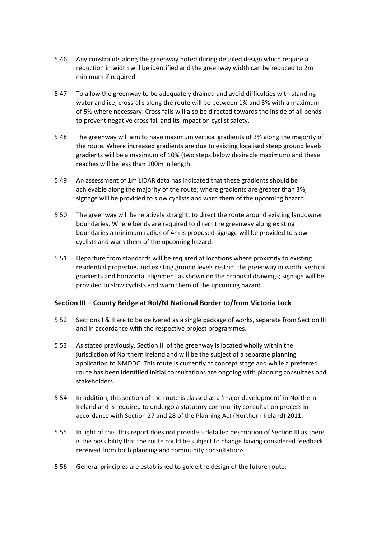- 5.46 Any constraints along the greenway noted during detailed design which require a reduction in width will be identified and the greenway width can be reduced to 2m minimum if required.
- 5.47 To allow the greenway to be adequately drained and avoid difficulties with standing water and ice; crossfalls along the route will be between 1% and 3% with a maximum of 5% where necessary. Cross falls will also be directed towards the inside of all bends to prevent negative cross fall and its impact on cyclist safety.
- 5.48 The greenway will aim to have maximum vertical gradients of 3% along the majority of the route. Where increased gradients are due to existing localised steep ground levels gradients will be a maximum of 10% (two steps below desirable maximum) and these reaches will be less than 100m in length.
- 5.49 An assessment of 1m LiDAR data has indicated that these gradients should be achievable along the majority of the route; where gradients are greater than 3%; signage will be provided to slow cyclists and warn them of the upcoming hazard.
- 5.50 The greenway will be relatively straight; to direct the route around existing landowner boundaries. Where bends are required to direct the greenway along existing boundaries a minimum radius of 4m is proposed signage will be provided to slow cyclists and warn them of the upcoming hazard.
- 5.51 Departure from standards will be required at locations where proximity to existing residential properties and existing ground levels restrict the greenway in width, vertical gradients and horizontal alignment as shown on the proposal drawings; signage will be provided to slow cyclists and warn them of the upcoming hazard.

# **Section III – County Bridge at RoI/NI National Border to/from Victoria Lock**

- 5.52 Sections I & II are to be delivered as a single package of works, separate from Section III and in accordance with the respective project programmes.
- 5.53 As stated previously, Section III of the greenway is located wholly within the jurisdiction of Northern Ireland and will be the subject of a separate planning application to NMDDC. This route is currently at concept stage and while a preferred route has been identified initial consultations are ongoing with planning consultees and stakeholders.
- 5.54 In addition, this section of the route is classed as a 'major development' in Northern Ireland and is required to undergo a statutory community consultation process in accordance with Section 27 and 28 of the Planning Act (Northern Ireland) 2011.
- 5.55 In light of this, this report does not provide a detailed description of Section III as there is the possibility that the route could be subject to change having considered feedback received from both planning and community consultations.
- 5.56 General principles are established to guide the design of the future route: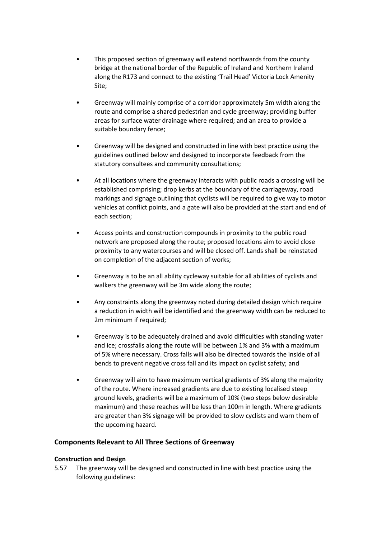- This proposed section of greenway will extend northwards from the county bridge at the national border of the Republic of Ireland and Northern Ireland along the R173 and connect to the existing 'Trail Head' Victoria Lock Amenity Site;
- Greenway will mainly comprise of a corridor approximately 5m width along the route and comprise a shared pedestrian and cycle greenway; providing buffer areas for surface water drainage where required; and an area to provide a suitable boundary fence;
- Greenway will be designed and constructed in line with best practice using the guidelines outlined below and designed to incorporate feedback from the statutory consultees and community consultations;
- At all locations where the greenway interacts with public roads a crossing will be established comprising; drop kerbs at the boundary of the carriageway, road markings and signage outlining that cyclists will be required to give way to motor vehicles at conflict points, and a gate will also be provided at the start and end of each section;
- Access points and construction compounds in proximity to the public road network are proposed along the route; proposed locations aim to avoid close proximity to any watercourses and will be closed off. Lands shall be reinstated on completion of the adjacent section of works;
- Greenway is to be an all ability cycleway suitable for all abilities of cyclists and walkers the greenway will be 3m wide along the route;
- Any constraints along the greenway noted during detailed design which require a reduction in width will be identified and the greenway width can be reduced to 2m minimum if required:
- Greenway is to be adequately drained and avoid difficulties with standing water and ice; crossfalls along the route will be between 1% and 3% with a maximum of 5% where necessary. Cross falls will also be directed towards the inside of all bends to prevent negative cross fall and its impact on cyclist safety; and
- Greenway will aim to have maximum vertical gradients of 3% along the majority of the route. Where increased gradients are due to existing localised steep ground levels, gradients will be a maximum of 10% (two steps below desirable maximum) and these reaches will be less than 100m in length. Where gradients are greater than 3% signage will be provided to slow cyclists and warn them of the upcoming hazard.

# **Components Relevant to All Three Sections of Greenway**

#### **Construction and Design**

5.57 The greenway will be designed and constructed in line with best practice using the following guidelines: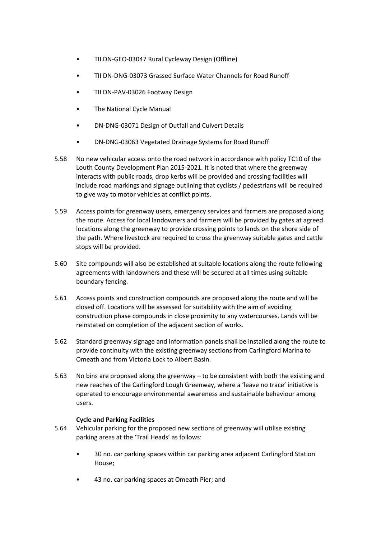- TII DN-GEO-03047 Rural Cycleway Design (Offline)
- TII DN-DNG-03073 Grassed Surface Water Channels for Road Runoff
- TII DN-PAV-03026 Footway Design
- **The National Cycle Manual**
- DN-DNG-03071 Design of Outfall and Culvert Details
- DN-DNG-03063 Vegetated Drainage Systems for Road Runoff
- 5.58 No new vehicular access onto the road network in accordance with policy TC10 of the Louth County Development Plan 2015-2021. It is noted that where the greenway interacts with public roads, drop kerbs will be provided and crossing facilities will include road markings and signage outlining that cyclists / pedestrians will be required to give way to motor vehicles at conflict points.
- 5.59 Access points for greenway users, emergency services and farmers are proposed along the route. Access for local landowners and farmers will be provided by gates at agreed locations along the greenway to provide crossing points to lands on the shore side of the path. Where livestock are required to cross the greenway suitable gates and cattle stops will be provided.
- 5.60 Site compounds will also be established at suitable locations along the route following agreements with landowners and these will be secured at all times using suitable boundary fencing.
- 5.61 Access points and construction compounds are proposed along the route and will be closed off. Locations will be assessed for suitability with the aim of avoiding construction phase compounds in close proximity to any watercourses. Lands will be reinstated on completion of the adjacent section of works.
- 5.62 Standard greenway signage and information panels shall be installed along the route to provide continuity with the existing greenway sections from Carlingford Marina to Omeath and from Victoria Lock to Albert Basin.
- 5.63 No bins are proposed along the greenway to be consistent with both the existing and new reaches of the Carlingford Lough Greenway, where a 'leave no trace' initiative is operated to encourage environmental awareness and sustainable behaviour among users.

# **Cycle and Parking Facilities**

- 5.64 Vehicular parking for the proposed new sections of greenway will utilise existing parking areas at the 'Trail Heads' as follows:
	- 30 no. car parking spaces within car parking area adjacent Carlingford Station House;
	- 43 no. car parking spaces at Omeath Pier; and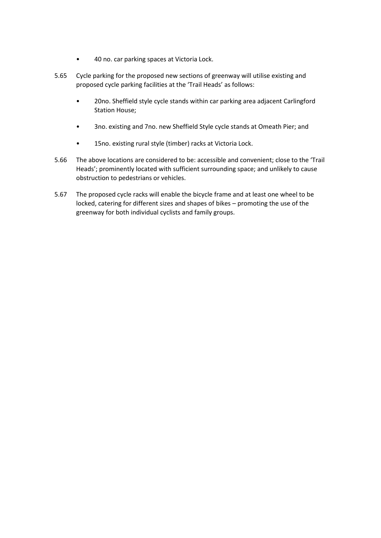- 40 no. car parking spaces at Victoria Lock.
- 5.65 Cycle parking for the proposed new sections of greenway will utilise existing and proposed cycle parking facilities at the 'Trail Heads' as follows:
	- 20no. Sheffield style cycle stands within car parking area adjacent Carlingford Station House;
	- 3no. existing and 7no. new Sheffield Style cycle stands at Omeath Pier; and
	- 15no. existing rural style (timber) racks at Victoria Lock.
- 5.66 The above locations are considered to be: accessible and convenient; close to the 'Trail Heads'; prominently located with sufficient surrounding space; and unlikely to cause obstruction to pedestrians or vehicles.
- 5.67 The proposed cycle racks will enable the bicycle frame and at least one wheel to be locked, catering for different sizes and shapes of bikes – promoting the use of the greenway for both individual cyclists and family groups.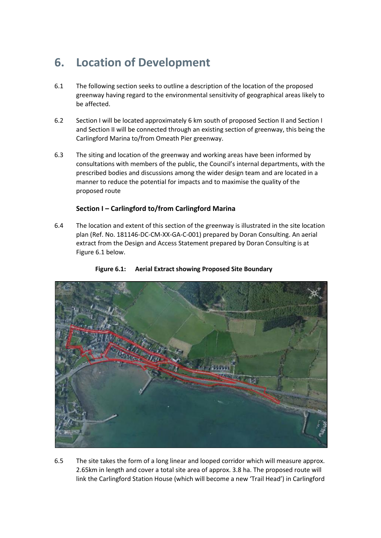# <span id="page-22-0"></span>**6. Location of Development**

- 6.1 The following section seeks to outline a description of the location of the proposed greenway having regard to the environmental sensitivity of geographical areas likely to be affected.
- 6.2 Section I will be located approximately 6 km south of proposed Section II and Section I and Section II will be connected through an existing section of greenway, this being the Carlingford Marina to/from Omeath Pier greenway.
- 6.3 The siting and location of the greenway and working areas have been informed by consultations with members of the public, the Council's internal departments, with the prescribed bodies and discussions among the wider design team and are located in a manner to reduce the potential for impacts and to maximise the quality of the proposed route

# **Section I – Carlingford to/from Carlingford Marina**

6.4 The location and extent of this section of the greenway is illustrated in the site location plan (Ref. No. 181146-DC-CM-XX-GA-C-001) prepared by Doran Consulting. An aerial extract from the Design and Access Statement prepared by Doran Consulting is at Figure 6.1 below.



# **Figure 6.1: Aerial Extract showing Proposed Site Boundary**

6.5 The site takes the form of a long linear and looped corridor which will measure approx. 2.65km in length and cover a total site area of approx. 3.8 ha. The proposed route will link the Carlingford Station House (which will become a new 'Trail Head') in Carlingford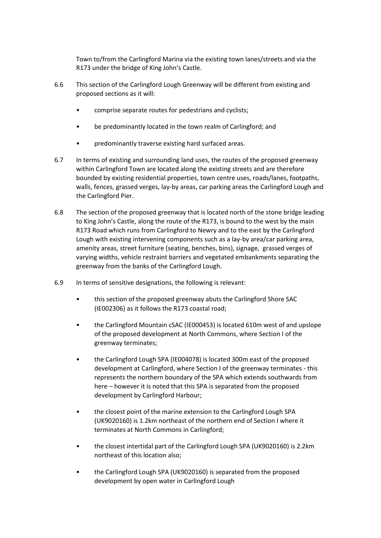Town to/from the Carlingford Marina via the existing town lanes/streets and via the R173 under the bridge of King John's Castle.

- 6.6 This section of the Carlingford Lough Greenway will be different from existing and proposed sections as it will:
	- comprise separate routes for pedestrians and cyclists;
	- be predominantly located in the town realm of Carlingford; and
	- predominantly traverse existing hard surfaced areas.
- 6.7 In terms of existing and surrounding land uses, the routes of the proposed greenway within Carlingford Town are located along the existing streets and are therefore bounded by existing residential properties, town centre uses, roads/lanes, footpaths, walls, fences, grassed verges, lay-by areas, car parking areas the Carlingford Lough and the Carlingford Pier.
- 6.8 The section of the proposed greenway that is located north of the stone bridge leading to King John's Castle, along the route of the R173, is bound to the west by the main R173 Road which runs from Carlingford to Newry and to the east by the Carlingford Lough with existing intervening components such as a lay-by area/car parking area, amenity areas, street furniture (seating, benches, bins), signage, grassed verges of varying widths, vehicle restraint barriers and vegetated embankments separating the greenway from the banks of the Carlingford Lough.
- 6.9 In terms of sensitive designations, the following is relevant:
	- this section of the proposed greenway abuts the Carlingford Shore SAC (IE002306) as it follows the R173 coastal road;
	- the Carlingford Mountain cSAC (IE000453) is located 610m west of and upslope of the proposed development at North Commons, where Section I of the greenway terminates;
	- the Carlingford Lough SPA (IE004078) is located 300m east of the proposed development at Carlingford, where Section I of the greenway terminates - this represents the northern boundary of the SPA which extends southwards from here – however it is noted that this SPA is separated from the proposed development by Carlingford Harbour;
	- the closest point of the marine extension to the Carlingford Lough SPA (UK9020160) is 1.2km northeast of the northern end of Section I where it terminates at North Commons in Carlingford;
	- the closest intertidal part of the Carlingford Lough SPA (UK9020160) is 2.2km northeast of this location also;
	- the Carlingford Lough SPA (UK9020160) is separated from the proposed development by open water in Carlingford Lough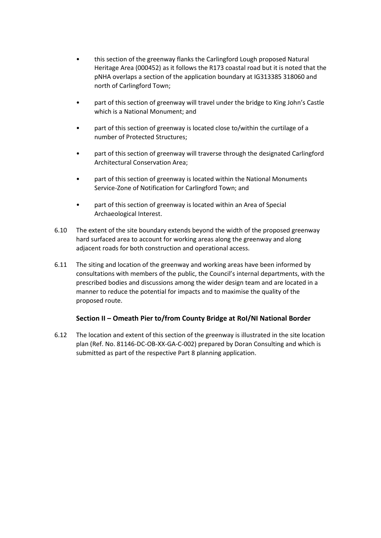- this section of the greenway flanks the Carlingford Lough proposed Natural Heritage Area (000452) as it follows the R173 coastal road but it is noted that the pNHA overlaps a section of the application boundary at IG313385 318060 and north of Carlingford Town;
- part of this section of greenway will travel under the bridge to King John's Castle which is a National Monument; and
- part of this section of greenway is located close to/within the curtilage of a number of Protected Structures;
- part of this section of greenway will traverse through the designated Carlingford Architectural Conservation Area;
- part of this section of greenway is located within the National Monuments Service-Zone of Notification for Carlingford Town; and
- part of this section of greenway is located within an Area of Special Archaeological Interest.
- 6.10 The extent of the site boundary extends beyond the width of the proposed greenway hard surfaced area to account for working areas along the greenway and along adjacent roads for both construction and operational access.
- 6.11 The siting and location of the greenway and working areas have been informed by consultations with members of the public, the Council's internal departments, with the prescribed bodies and discussions among the wider design team and are located in a manner to reduce the potential for impacts and to maximise the quality of the proposed route.

# **Section II – Omeath Pier to/from County Bridge at RoI/NI National Border**

6.12 The location and extent of this section of the greenway is illustrated in the site location plan (Ref. No. 81146-DC-OB-XX-GA-C-002) prepared by Doran Consulting and which is submitted as part of the respective Part 8 planning application.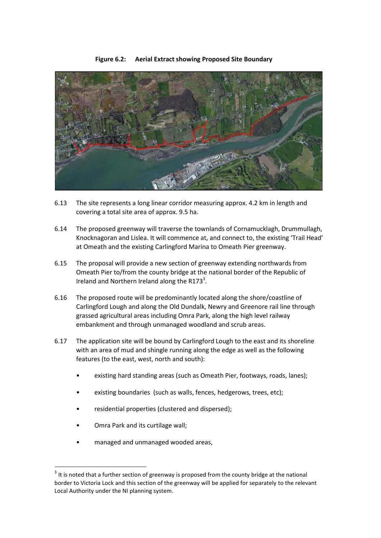

#### **Figure 6.2: Aerial Extract showing Proposed Site Boundary**

- 6.13 The site represents a long linear corridor measuring approx. 4.2 km in length and covering a total site area of approx. 9.5 ha.
- 6.14 The proposed greenway will traverse the townlands of Cornamucklagh, Drummullagh, Knocknagoran and Lislea. It will commence at, and connect to, the existing 'Trail Head' at Omeath and the existing Carlingford Marina to Omeath Pier greenway.
- 6.15 The proposal will provide a new section of greenway extending northwards from Omeath Pier to/from the county bridge at the national border of the Republic of Ireland and Northern Ireland along the R173 $^3$ .
- 6.16 The proposed route will be predominantly located along the shore/coastline of Carlingford Lough and along the Old Dundalk, Newry and Greenore rail line through grassed agricultural areas including Omra Park, along the high level railway embankment and through unmanaged woodland and scrub areas.
- 6.17 The application site will be bound by Carlingford Lough to the east and its shoreline with an area of mud and shingle running along the edge as well as the following features (to the east, west, north and south):
	- existing hard standing areas (such as Omeath Pier, footways, roads, lanes);
	- existing boundaries (such as walls, fences, hedgerows, trees, etc);
	- residential properties (clustered and dispersed);
	- Omra Park and its curtilage wall;

**.** 

• managed and unmanaged wooded areas,

 $3$  It is noted that a further section of greenway is proposed from the county bridge at the national border to Victoria Lock and this section of the greenway will be applied for separately to the relevant Local Authority under the NI planning system.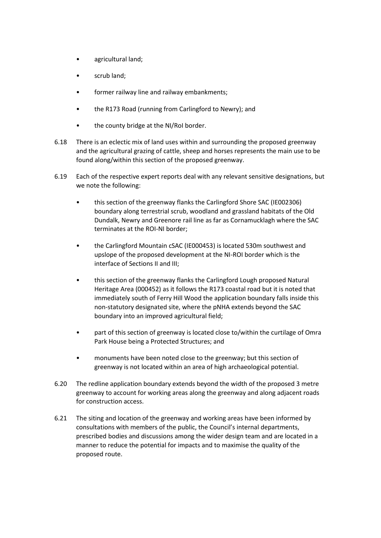- agricultural land;
- scrub land;
- former railway line and railway embankments;
- the R173 Road (running from Carlingford to Newry); and
- the county bridge at the NI/RoI border.
- 6.18 There is an eclectic mix of land uses within and surrounding the proposed greenway and the agricultural grazing of cattle, sheep and horses represents the main use to be found along/within this section of the proposed greenway.
- 6.19 Each of the respective expert reports deal with any relevant sensitive designations, but we note the following:
	- this section of the greenway flanks the Carlingford Shore SAC (IE002306) boundary along terrestrial scrub, woodland and grassland habitats of the Old Dundalk, Newry and Greenore rail line as far as Cornamucklagh where the SAC terminates at the ROI-NI border;
	- the Carlingford Mountain cSAC (IE000453) is located 530m southwest and upslope of the proposed development at the NI-ROI border which is the interface of Sections II and III;
	- this section of the greenway flanks the Carlingford Lough proposed Natural Heritage Area (000452) as it follows the R173 coastal road but it is noted that immediately south of Ferry Hill Wood the application boundary falls inside this non-statutory designated site, where the pNHA extends beyond the SAC boundary into an improved agricultural field;
	- part of this section of greenway is located close to/within the curtilage of Omra Park House being a Protected Structures; and
	- monuments have been noted close to the greenway; but this section of greenway is not located within an area of high archaeological potential.
- 6.20 The redline application boundary extends beyond the width of the proposed 3 metre greenway to account for working areas along the greenway and along adjacent roads for construction access.
- 6.21 The siting and location of the greenway and working areas have been informed by consultations with members of the public, the Council's internal departments, prescribed bodies and discussions among the wider design team and are located in a manner to reduce the potential for impacts and to maximise the quality of the proposed route.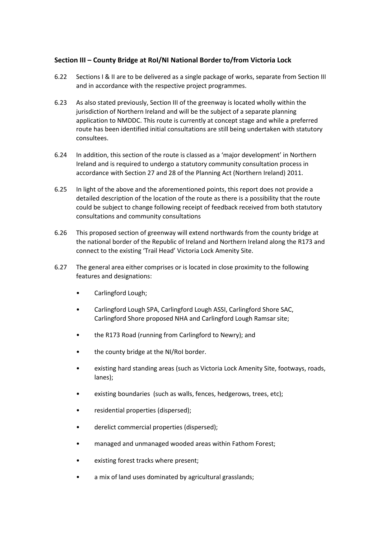# **Section III – County Bridge at RoI/NI National Border to/from Victoria Lock**

- 6.22 Sections I & II are to be delivered as a single package of works, separate from Section III and in accordance with the respective project programmes.
- 6.23 As also stated previously, Section III of the greenway is located wholly within the jurisdiction of Northern Ireland and will be the subject of a separate planning application to NMDDC. This route is currently at concept stage and while a preferred route has been identified initial consultations are still being undertaken with statutory consultees.
- 6.24 In addition, this section of the route is classed as a 'major development' in Northern Ireland and is required to undergo a statutory community consultation process in accordance with Section 27 and 28 of the Planning Act (Northern Ireland) 2011.
- 6.25 In light of the above and the aforementioned points, this report does not provide a detailed description of the location of the route as there is a possibility that the route could be subject to change following receipt of feedback received from both statutory consultations and community consultations
- 6.26 This proposed section of greenway will extend northwards from the county bridge at the national border of the Republic of Ireland and Northern Ireland along the R173 and connect to the existing 'Trail Head' Victoria Lock Amenity Site.
- 6.27 The general area either comprises or is located in close proximity to the following features and designations:
	- Carlingford Lough;
	- Carlingford Lough SPA, Carlingford Lough ASSI, Carlingford Shore SAC, Carlingford Shore proposed NHA and Carlingford Lough Ramsar site;
	- the R173 Road (running from Carlingford to Newry); and
	- the county bridge at the NI/RoI border.
	- existing hard standing areas (such as Victoria Lock Amenity Site, footways, roads, lanes);
	- existing boundaries (such as walls, fences, hedgerows, trees, etc);
	- residential properties (dispersed);
	- derelict commercial properties (dispersed);
	- managed and unmanaged wooded areas within Fathom Forest;
	- existing forest tracks where present;
	- a mix of land uses dominated by agricultural grasslands;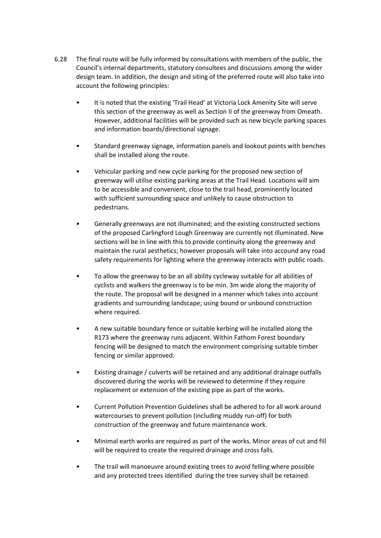- 6.28 The final route will be fully informed by consultations with members of the public, the Council's internal departments, statutory consultees and discussions among the wider design team. In addition, the design and siting of the preferred route will also take into account the following principles:
	- It is noted that the existing 'Trail Head' at Victoria Lock Amenity Site will serve this section of the greenway as well as Section II of the greenway from Omeath. However, additional facilities will be provided such as new bicycle parking spaces and information boards/directional signage.
	- Standard greenway signage, information panels and lookout points with benches shall be installed along the route.
	- Vehicular parking and new cycle parking for the proposed new section of greenway will utilise existing parking areas at the Trail Head. Locations will aim to be accessible and convenient, close to the trail head, prominently located with sufficient surrounding space and unlikely to cause obstruction to pedestrians.
	- Generally greenways are not illuminated; and the existing constructed sections of the proposed Carlingford Lough Greenway are currently not illuminated. New sections will be in line with this to provide continuity along the greenway and maintain the rural aesthetics; however proposals will take into accound any road safety requirements for lighting where the greenway interacts with public roads.
	- To allow the greenway to be an all ability cycleway suitable for all abilities of cyclists and walkers the greenway is to be min. 3m wide along the majority of the route. The proposal will be designed in a manner which takes into account gradients and surrounding landscape; using bound or unbound construction where required.
	- A new suitable boundary fence or suitable kerbing will be installed along the R173 where the greenway runs adjacent. Within Fathom Forest boundary fencing will be designed to match the environment comprising suitable timber fencing or similar approved.
	- Existing drainage / culverts will be retained and any additional drainage outfalls discovered during the works will be reviewed to determine if they require replacement or extension of the existing pipe as part of the works.
	- Current Pollution Prevention Guidelines shall be adhered to for all work around watercourses to prevent pollution (including muddy run-off) for both construction of the greenway and future maintenance work.
	- Minimal earth works are required as part of the works. Minor areas of cut and fill will be required to create the required drainage and cross falls.
	- The trail will manoeuvre around existing trees to avoid felling where possible and any protected trees identified during the tree survey shall be retained.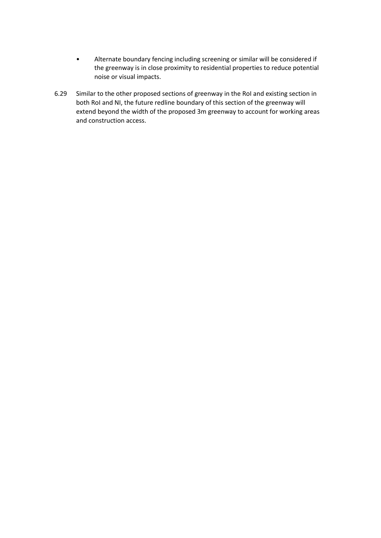- Alternate boundary fencing including screening or similar will be considered if the greenway is in close proximity to residential properties to reduce potential noise or visual impacts.
- 6.29 Similar to the other proposed sections of greenway in the RoI and existing section in both RoI and NI, the future redline boundary of this section of the greenway will extend beyond the width of the proposed 3m greenway to account for working areas and construction access.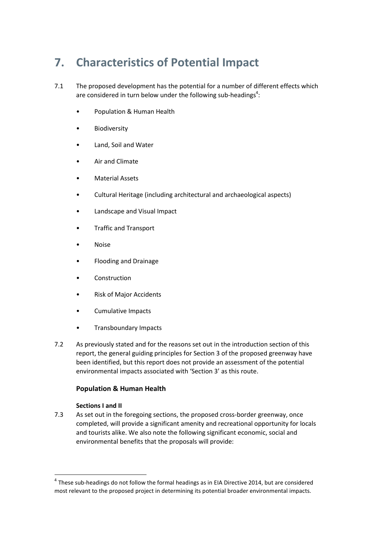# <span id="page-30-0"></span>**7. Characteristics of Potential Impact**

- 7.1 The proposed development has the potential for a number of different effects which are considered in turn below under the following sub-headings<sup>4</sup>:
	- Population & Human Health
	- Biodiversity
	- Land, Soil and Water
	- Air and Climate
	- Material Assets
	- Cultural Heritage (including architectural and archaeological aspects)
	- Landscape and Visual Impact
	- Traffic and Transport
	- Noise
	- Flooding and Drainage
	- **Construction**
	- Risk of Major Accidents
	- Cumulative Impacts
	- Transboundary Impacts
- 7.2 As previously stated and for the reasons set out in the introduction section of this report, the general guiding principles for Section 3 of the proposed greenway have been identified, but this report does not provide an assessment of the potential environmental impacts associated with 'Section 3' as this route.

# **Population & Human Health**

# **Sections I and II**

 $\overline{\phantom{a}}$ 

7.3 As set out in the foregoing sections, the proposed cross-border greenway, once completed, will provide a significant amenity and recreational opportunity for locals and tourists alike. We also note the following significant economic, social and environmental benefits that the proposals will provide:

 $^4$  These sub-headings do not follow the formal headings as in EIA Directive 2014, but are considered most relevant to the proposed project in determining its potential broader environmental impacts.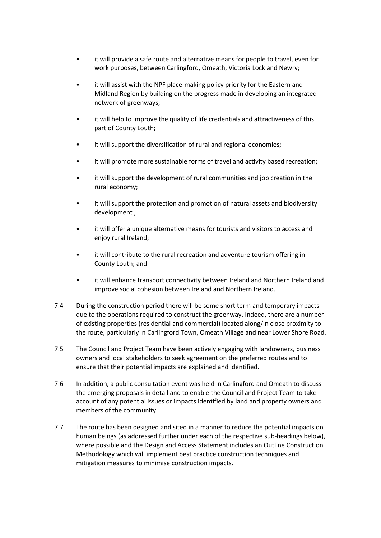- it will provide a safe route and alternative means for people to travel, even for work purposes, between Carlingford, Omeath, Victoria Lock and Newry;
- it will assist with the NPF place-making policy priority for the Eastern and Midland Region by building on the progress made in developing an integrated network of greenways;
- it will help to improve the quality of life credentials and attractiveness of this part of County Louth;
- it will support the diversification of rural and regional economies;
- it will promote more sustainable forms of travel and activity based recreation;
- it will support the development of rural communities and job creation in the rural economy;
- it will support the protection and promotion of natural assets and biodiversity development ;
- it will offer a unique alternative means for tourists and visitors to access and enjoy rural Ireland;
- it will contribute to the rural recreation and adventure tourism offering in County Louth; and
- it will enhance transport connectivity between Ireland and Northern Ireland and improve social cohesion between Ireland and Northern Ireland.
- 7.4 During the construction period there will be some short term and temporary impacts due to the operations required to construct the greenway. Indeed, there are a number of existing properties (residential and commercial) located along/in close proximity to the route, particularly in Carlingford Town, Omeath Village and near Lower Shore Road.
- 7.5 The Council and Project Team have been actively engaging with landowners, business owners and local stakeholders to seek agreement on the preferred routes and to ensure that their potential impacts are explained and identified.
- 7.6 In addition, a public consultation event was held in Carlingford and Omeath to discuss the emerging proposals in detail and to enable the Council and Project Team to take account of any potential issues or impacts identified by land and property owners and members of the community.
- 7.7 The route has been designed and sited in a manner to reduce the potential impacts on human beings (as addressed further under each of the respective sub-headings below), where possible and the Design and Access Statement includes an Outline Construction Methodology which will implement best practice construction techniques and mitigation measures to minimise construction impacts.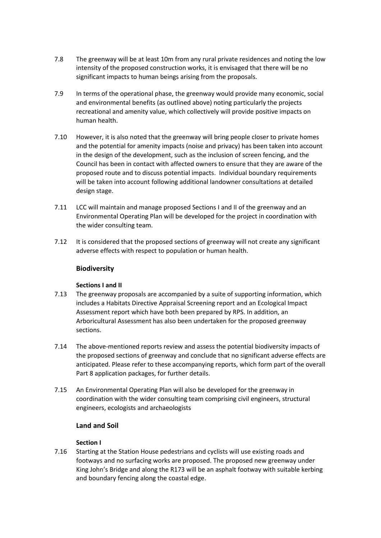- 7.8 The greenway will be at least 10m from any rural private residences and noting the low intensity of the proposed construction works, it is envisaged that there will be no significant impacts to human beings arising from the proposals.
- 7.9 In terms of the operational phase, the greenway would provide many economic, social and environmental benefits (as outlined above) noting particularly the projects recreational and amenity value, which collectively will provide positive impacts on human health.
- 7.10 However, it is also noted that the greenway will bring people closer to private homes and the potential for amenity impacts (noise and privacy) has been taken into account in the design of the development, such as the inclusion of screen fencing, and the Council has been in contact with affected owners to ensure that they are aware of the proposed route and to discuss potential impacts. Individual boundary requirements will be taken into account following additional landowner consultations at detailed design stage.
- 7.11 LCC will maintain and manage proposed Sections I and II of the greenway and an Environmental Operating Plan will be developed for the project in coordination with the wider consulting team.
- 7.12 It is considered that the proposed sections of greenway will not create any significant adverse effects with respect to population or human health.

# **Biodiversity**

#### **Sections I and II**

- 7.13 The greenway proposals are accompanied by a suite of supporting information, which includes a Habitats Directive Appraisal Screening report and an Ecological Impact Assessment report which have both been prepared by RPS. In addition, an Arboricultural Assessment has also been undertaken for the proposed greenway sections.
- 7.14 The above-mentioned reports review and assess the potential biodiversity impacts of the proposed sections of greenway and conclude that no significant adverse effects are anticipated. Please refer to these accompanying reports, which form part of the overall Part 8 application packages, for further details.
- 7.15 An Environmental Operating Plan will also be developed for the greenway in coordination with the wider consulting team comprising civil engineers, structural engineers, ecologists and archaeologists

# **Land and Soil**

#### **Section I**

7.16 Starting at the Station House pedestrians and cyclists will use existing roads and footways and no surfacing works are proposed. The proposed new greenway under King John's Bridge and along the R173 will be an asphalt footway with suitable kerbing and boundary fencing along the coastal edge.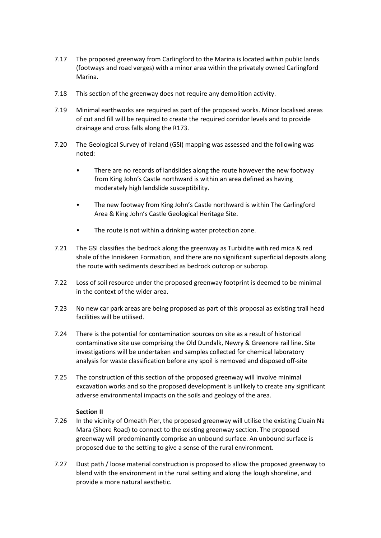- 7.17 The proposed greenway from Carlingford to the Marina is located within public lands (footways and road verges) with a minor area within the privately owned Carlingford Marina.
- 7.18 This section of the greenway does not require any demolition activity.
- 7.19 Minimal earthworks are required as part of the proposed works. Minor localised areas of cut and fill will be required to create the required corridor levels and to provide drainage and cross falls along the R173.
- 7.20 The Geological Survey of Ireland (GSI) mapping was assessed and the following was noted:
	- There are no records of landslides along the route however the new footway from King John's Castle northward is within an area defined as having moderately high landslide susceptibility.
	- The new footway from King John's Castle northward is within The Carlingford Area & King John's Castle Geological Heritage Site.
	- The route is not within a drinking water protection zone.
- 7.21 The GSI classifies the bedrock along the greenway as Turbidite with red mica & red shale of the Inniskeen Formation, and there are no significant superficial deposits along the route with sediments described as bedrock outcrop or subcrop.
- 7.22 Loss of soil resource under the proposed greenway footprint is deemed to be minimal in the context of the wider area.
- 7.23 No new car park areas are being proposed as part of this proposal as existing trail head facilities will be utilised.
- 7.24 There is the potential for contamination sources on site as a result of historical contaminative site use comprising the Old Dundalk, Newry & Greenore rail line. Site investigations will be undertaken and samples collected for chemical laboratory analysis for waste classification before any spoil is removed and disposed off-site
- 7.25 The construction of this section of the proposed greenway will involve minimal excavation works and so the proposed development is unlikely to create any significant adverse environmental impacts on the soils and geology of the area.

#### **Section II**

- 7.26 In the vicinity of Omeath Pier, the proposed greenway will utilise the existing Cluain Na Mara (Shore Road) to connect to the existing greenway section. The proposed greenway will predominantly comprise an unbound surface. An unbound surface is proposed due to the setting to give a sense of the rural environment.
- 7.27 Dust path / loose material construction is proposed to allow the proposed greenway to blend with the environment in the rural setting and along the lough shoreline, and provide a more natural aesthetic.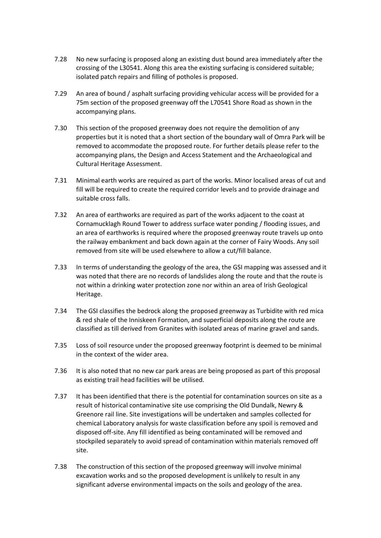- 7.28 No new surfacing is proposed along an existing dust bound area immediately after the crossing of the L30541. Along this area the existing surfacing is considered suitable; isolated patch repairs and filling of potholes is proposed.
- 7.29 An area of bound / asphalt surfacing providing vehicular access will be provided for a 75m section of the proposed greenway off the L70541 Shore Road as shown in the accompanying plans.
- 7.30 This section of the proposed greenway does not require the demolition of any properties but it is noted that a short section of the boundary wall of Omra Park will be removed to accommodate the proposed route. For further details please refer to the accompanying plans, the Design and Access Statement and the Archaeological and Cultural Heritage Assessment.
- 7.31 Minimal earth works are required as part of the works. Minor localised areas of cut and fill will be required to create the required corridor levels and to provide drainage and suitable cross falls.
- 7.32 An area of earthworks are required as part of the works adjacent to the coast at Cornamucklagh Round Tower to address surface water ponding / flooding issues, and an area of earthworks is required where the proposed greenway route travels up onto the railway embankment and back down again at the corner of Fairy Woods. Any soil removed from site will be used elsewhere to allow a cut/fill balance.
- 7.33 In terms of understanding the geology of the area, the GSI mapping was assessed and it was noted that there are no records of landslides along the route and that the route is not within a drinking water protection zone nor within an area of Irish Geological Heritage.
- 7.34 The GSI classifies the bedrock along the proposed greenway as Turbidite with red mica & red shale of the Inniskeen Formation, and superficial deposits along the route are classified as till derived from Granites with isolated areas of marine gravel and sands.
- 7.35 Loss of soil resource under the proposed greenway footprint is deemed to be minimal in the context of the wider area.
- 7.36 It is also noted that no new car park areas are being proposed as part of this proposal as existing trail head facilities will be utilised.
- 7.37 It has been identified that there is the potential for contamination sources on site as a result of historical contaminative site use comprising the Old Dundalk, Newry & Greenore rail line. Site investigations will be undertaken and samples collected for chemical Laboratory analysis for waste classification before any spoil is removed and disposed off-site. Any fill identified as being contaminated will be removed and stockpiled separately to avoid spread of contamination within materials removed off site.
- 7.38 The construction of this section of the proposed greenway will involve minimal excavation works and so the proposed development is unlikely to result in any significant adverse environmental impacts on the soils and geology of the area.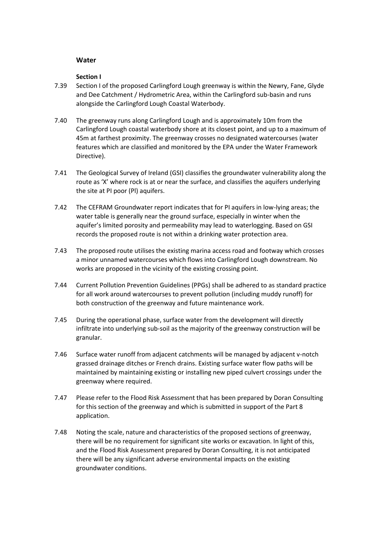#### **Water**

#### **Section I**

- 7.39 Section I of the proposed Carlingford Lough greenway is within the Newry, Fane, Glyde and Dee Catchment / Hydrometric Area, within the Carlingford sub-basin and runs alongside the Carlingford Lough Coastal Waterbody.
- 7.40 The greenway runs along Carlingford Lough and is approximately 10m from the Carlingford Lough coastal waterbody shore at its closest point, and up to a maximum of 45m at farthest proximity. The greenway crosses no designated watercourses (water features which are classified and monitored by the EPA under the Water Framework Directive).
- 7.41 The Geological Survey of Ireland (GSI) classifies the groundwater vulnerability along the route as 'X' where rock is at or near the surface, and classifies the aquifers underlying the site at PI poor (Pl) aquifers.
- 7.42 The CEFRAM Groundwater report indicates that for PI aquifers in low-lying areas; the water table is generally near the ground surface, especially in winter when the aquifer's limited porosity and permeability may lead to waterlogging. Based on GSI records the proposed route is not within a drinking water protection area.
- 7.43 The proposed route utilises the existing marina access road and footway which crosses a minor unnamed watercourses which flows into Carlingford Lough downstream. No works are proposed in the vicinity of the existing crossing point.
- 7.44 Current Pollution Prevention Guidelines (PPGs) shall be adhered to as standard practice for all work around watercourses to prevent pollution (including muddy runoff) for both construction of the greenway and future maintenance work.
- 7.45 During the operational phase, surface water from the development will directly infiltrate into underlying sub-soil as the majority of the greenway construction will be granular.
- 7.46 Surface water runoff from adjacent catchments will be managed by adjacent v-notch grassed drainage ditches or French drains. Existing surface water flow paths will be maintained by maintaining existing or installing new piped culvert crossings under the greenway where required.
- 7.47 Please refer to the Flood Risk Assessment that has been prepared by Doran Consulting for this section of the greenway and which is submitted in support of the Part 8 application.
- 7.48 Noting the scale, nature and characteristics of the proposed sections of greenway, there will be no requirement for significant site works or excavation. In light of this, and the Flood Risk Assessment prepared by Doran Consulting, it is not anticipated there will be any significant adverse environmental impacts on the existing groundwater conditions.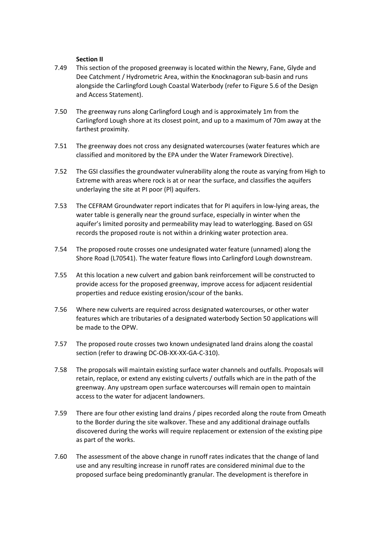#### **Section II**

- 7.49 This section of the proposed greenway is located within the Newry, Fane, Glyde and Dee Catchment / Hydrometric Area, within the Knocknagoran sub-basin and runs alongside the Carlingford Lough Coastal Waterbody (refer to Figure 5.6 of the Design and Access Statement).
- 7.50 The greenway runs along Carlingford Lough and is approximately 1m from the Carlingford Lough shore at its closest point, and up to a maximum of 70m away at the farthest proximity.
- 7.51 The greenway does not cross any designated watercourses (water features which are classified and monitored by the EPA under the Water Framework Directive).
- 7.52 The GSI classifies the groundwater vulnerability along the route as varying from High to Extreme with areas where rock is at or near the surface, and classifies the aquifers underlaying the site at PI poor (Pl) aquifers.
- 7.53 The CEFRAM Groundwater report indicates that for PI aquifers in low-lying areas, the water table is generally near the ground surface, especially in winter when the aquifer's limited porosity and permeability may lead to waterlogging. Based on GSI records the proposed route is not within a drinking water protection area.
- 7.54 The proposed route crosses one undesignated water feature (unnamed) along the Shore Road (L70541). The water feature flows into Carlingford Lough downstream.
- 7.55 At this location a new culvert and gabion bank reinforcement will be constructed to provide access for the proposed greenway, improve access for adjacent residential properties and reduce existing erosion/scour of the banks.
- 7.56 Where new culverts are required across designated watercourses, or other water features which are tributaries of a designated waterbody Section 50 applications will be made to the OPW.
- 7.57 The proposed route crosses two known undesignated land drains along the coastal section (refer to drawing DC-OB-XX-XX-GA-C-310).
- 7.58 The proposals will maintain existing surface water channels and outfalls. Proposals will retain, replace, or extend any existing culverts / outfalls which are in the path of the greenway. Any upstream open surface watercourses will remain open to maintain access to the water for adjacent landowners.
- 7.59 There are four other existing land drains / pipes recorded along the route from Omeath to the Border during the site walkover. These and any additional drainage outfalls discovered during the works will require replacement or extension of the existing pipe as part of the works.
- 7.60 The assessment of the above change in runoff rates indicates that the change of land use and any resulting increase in runoff rates are considered minimal due to the proposed surface being predominantly granular. The development is therefore in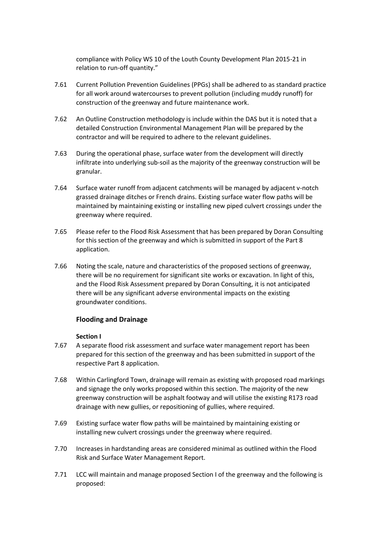compliance with Policy WS 10 of the Louth County Development Plan 2015-21 in relation to run-off quantity."

- 7.61 Current Pollution Prevention Guidelines (PPGs) shall be adhered to as standard practice for all work around watercourses to prevent pollution (including muddy runoff) for construction of the greenway and future maintenance work.
- 7.62 An Outline Construction methodology is include within the DAS but it is noted that a detailed Construction Environmental Management Plan will be prepared by the contractor and will be required to adhere to the relevant guidelines.
- 7.63 During the operational phase, surface water from the development will directly infiltrate into underlying sub-soil as the majority of the greenway construction will be granular.
- 7.64 Surface water runoff from adjacent catchments will be managed by adjacent v-notch grassed drainage ditches or French drains. Existing surface water flow paths will be maintained by maintaining existing or installing new piped culvert crossings under the greenway where required.
- 7.65 Please refer to the Flood Risk Assessment that has been prepared by Doran Consulting for this section of the greenway and which is submitted in support of the Part 8 application.
- 7.66 Noting the scale, nature and characteristics of the proposed sections of greenway, there will be no requirement for significant site works or excavation. In light of this, and the Flood Risk Assessment prepared by Doran Consulting, it is not anticipated there will be any significant adverse environmental impacts on the existing groundwater conditions.

# **Flooding and Drainage**

#### **Section I**

- 7.67 A separate flood risk assessment and surface water management report has been prepared for this section of the greenway and has been submitted in support of the respective Part 8 application.
- 7.68 Within Carlingford Town, drainage will remain as existing with proposed road markings and signage the only works proposed within this section. The majority of the new greenway construction will be asphalt footway and will utilise the existing R173 road drainage with new gullies, or repositioning of gullies, where required.
- 7.69 Existing surface water flow paths will be maintained by maintaining existing or installing new culvert crossings under the greenway where required.
- 7.70 Increases in hardstanding areas are considered minimal as outlined within the Flood Risk and Surface Water Management Report.
- 7.71 LCC will maintain and manage proposed Section I of the greenway and the following is proposed: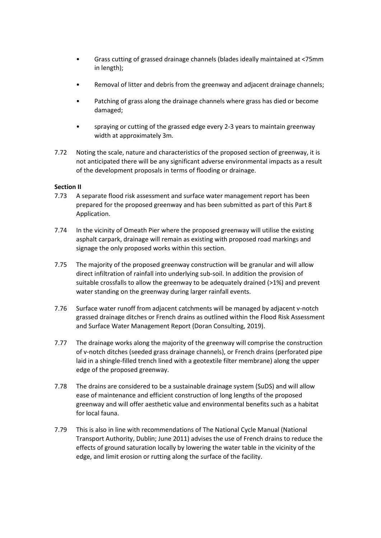- Grass cutting of grassed drainage channels (blades ideally maintained at <75mm in length);
- Removal of litter and debris from the greenway and adjacent drainage channels;
- Patching of grass along the drainage channels where grass has died or become damaged;
- spraying or cutting of the grassed edge every 2-3 years to maintain greenway width at approximately 3m.
- 7.72 Noting the scale, nature and characteristics of the proposed section of greenway, it is not anticipated there will be any significant adverse environmental impacts as a result of the development proposals in terms of flooding or drainage.

# **Section II**

- 7.73 A separate flood risk assessment and surface water management report has been prepared for the proposed greenway and has been submitted as part of this Part 8 Application.
- 7.74 In the vicinity of Omeath Pier where the proposed greenway will utilise the existing asphalt carpark, drainage will remain as existing with proposed road markings and signage the only proposed works within this section.
- 7.75 The majority of the proposed greenway construction will be granular and will allow direct infiltration of rainfall into underlying sub-soil. In addition the provision of suitable crossfalls to allow the greenway to be adequately drained (>1%) and prevent water standing on the greenway during larger rainfall events.
- 7.76 Surface water runoff from adjacent catchments will be managed by adjacent v-notch grassed drainage ditches or French drains as outlined within the Flood Risk Assessment and Surface Water Management Report (Doran Consulting, 2019).
- 7.77 The drainage works along the majority of the greenway will comprise the construction of v-notch ditches (seeded grass drainage channels), or French drains (perforated pipe laid in a shingle-filled trench lined with a geotextile filter membrane) along the upper edge of the proposed greenway.
- 7.78 The drains are considered to be a sustainable drainage system (SuDS) and will allow ease of maintenance and efficient construction of long lengths of the proposed greenway and will offer aesthetic value and environmental benefits such as a habitat for local fauna.
- 7.79 This is also in line with recommendations of The National Cycle Manual (National Transport Authority, Dublin; June 2011) advises the use of French drains to reduce the effects of ground saturation locally by lowering the water table in the vicinity of the edge, and limit erosion or rutting along the surface of the facility.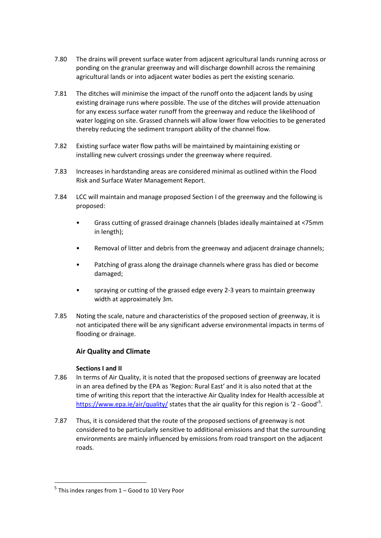- 7.80 The drains will prevent surface water from adjacent agricultural lands running across or ponding on the granular greenway and will discharge downhill across the remaining agricultural lands or into adjacent water bodies as pert the existing scenario.
- 7.81 The ditches will minimise the impact of the runoff onto the adjacent lands by using existing drainage runs where possible. The use of the ditches will provide attenuation for any excess surface water runoff from the greenway and reduce the likelihood of water logging on site. Grassed channels will allow lower flow velocities to be generated thereby reducing the sediment transport ability of the channel flow.
- 7.82 Existing surface water flow paths will be maintained by maintaining existing or installing new culvert crossings under the greenway where required.
- 7.83 Increases in hardstanding areas are considered minimal as outlined within the Flood Risk and Surface Water Management Report.
- 7.84 LCC will maintain and manage proposed Section I of the greenway and the following is proposed:
	- Grass cutting of grassed drainage channels (blades ideally maintained at <75mm in length);
	- Removal of litter and debris from the greenway and adjacent drainage channels;
	- Patching of grass along the drainage channels where grass has died or become damaged;
	- spraying or cutting of the grassed edge every 2-3 years to maintain greenway width at approximately 3m.
- 7.85 Noting the scale, nature and characteristics of the proposed section of greenway, it is not anticipated there will be any significant adverse environmental impacts in terms of flooding or drainage.

# **Air Quality and Climate**

#### **Sections I and II**

- 7.86 In terms of Air Quality, it is noted that the proposed sections of greenway are located in an area defined by the EPA as 'Region: Rural East' and it is also noted that at the time of writing this report that the interactive Air Quality Index for Health accessible at <https://www.epa.ie/air/quality/> states that the air quality for this region is '2 - Good'<sup>5</sup>.
- 7.87 Thus, it is considered that the route of the proposed sections of greenway is not considered to be particularly sensitive to additional emissions and that the surrounding environments are mainly influenced by emissions from road transport on the adjacent roads.

**.** 

<sup>&</sup>lt;sup>5</sup> This index ranges from 1 – Good to 10 Very Poor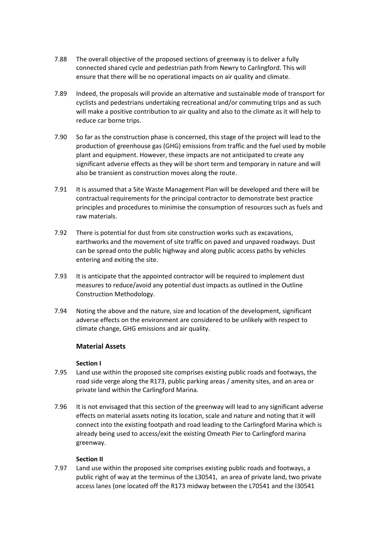- 7.88 The overall objective of the proposed sections of greenway is to deliver a fully connected shared cycle and pedestrian path from Newry to Carlingford. This will ensure that there will be no operational impacts on air quality and climate.
- 7.89 Indeed, the proposals will provide an alternative and sustainable mode of transport for cyclists and pedestrians undertaking recreational and/or commuting trips and as such will make a positive contribution to air quality and also to the climate as it will help to reduce car borne trips.
- 7.90 So far as the construction phase is concerned, this stage of the project will lead to the production of greenhouse gas (GHG) emissions from traffic and the fuel used by mobile plant and equipment. However, these impacts are not anticipated to create any significant adverse effects as they will be short term and temporary in nature and will also be transient as construction moves along the route.
- 7.91 It is assumed that a Site Waste Management Plan will be developed and there will be contractual requirements for the principal contractor to demonstrate best practice principles and procedures to minimise the consumption of resources such as fuels and raw materials.
- 7.92 There is potential for dust from site construction works such as excavations, earthworks and the movement of site traffic on paved and unpaved roadways. Dust can be spread onto the public highway and along public access paths by vehicles entering and exiting the site.
- 7.93 It is anticipate that the appointed contractor will be required to implement dust measures to reduce/avoid any potential dust impacts as outlined in the Outline Construction Methodology.
- 7.94 Noting the above and the nature, size and location of the development, significant adverse effects on the environment are considered to be unlikely with respect to climate change, GHG emissions and air quality.

# **Material Assets**

#### **Section I**

- 7.95 Land use within the proposed site comprises existing public roads and footways, the road side verge along the R173, public parking areas / amenity sites, and an area or private land within the Carlingford Marina.
- 7.96 It is not envisaged that this section of the greenway will lead to any significant adverse effects on material assets noting its location, scale and nature and noting that it will connect into the existing footpath and road leading to the Carlingford Marina which is already being used to access/exit the existing Omeath Pier to Carlingford marina greenway.

#### **Section II**

7.97 Land use within the proposed site comprises existing public roads and footways, a public right of way at the terminus of the L30541, an area of private land, two private access lanes (one located off the R173 midway between the L70541 and the l30541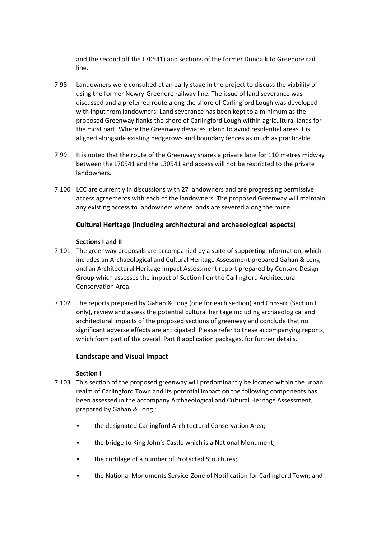and the second off the L70541) and sections of the former Dundalk to Greenore rail line.

- 7.98 Landowners were consulted at an early stage in the project to discuss the viability of using the former Newry-Greenore railway line. The issue of land severance was discussed and a preferred route along the shore of Carlingford Lough was developed with input from landowners. Land severance has been kept to a minimum as the proposed Greenway flanks the shore of Carlingford Lough within agricultural lands for the most part. Where the Greenway deviates inland to avoid residential areas it is aligned alongside existing hedgerows and boundary fences as much as practicable.
- 7.99 It is noted that the route of the Greenway shares a private lane for 110 metres midway between the L70541 and the L30541 and access will not be restricted to the private landowners.
- 7.100 LCC are currently in discussions with 27 landowners and are progressing permissive access agreements with each of the landowners. The proposed Greenway will maintain any existing access to landowners where lands are severed along the route.

#### **Cultural Heritage (including architectural and archaeological aspects)**

#### **Sections I and II**

- 7.101 The greenway proposals are accompanied by a suite of supporting information, which includes an Archaeological and Cultural Heritage Assessment prepared Gahan & Long and an Architectural Heritage Impact Assessment report prepared by Consarc Design Group which assesses the impact of Section I on the Carlingford Architectural Conservation Area.
- 7.102 The reports prepared by Gahan & Long (one for each section) and Consarc (Section I only), review and assess the potential cultural heritage including archaeological and architectural impacts of the proposed sections of greenway and conclude that no significant adverse effects are anticipated. Please refer to these accompanying reports, which form part of the overall Part 8 application packages, for further details.

#### **Landscape and Visual Impact**

#### **Section I**

- 7.103 This section of the proposed greenway will predominantly be located within the urban realm of Carlingford Town and its potential impact on the following components has been assessed in the accompany Archaeological and Cultural Heritage Assessment, prepared by Gahan & Long :
	- the designated Carlingford Architectural Conservation Area;
	- the bridge to King John's Castle which is a National Monument;
	- the curtilage of a number of Protected Structures;
	- the National Monuments Service-Zone of Notification for Carlingford Town; and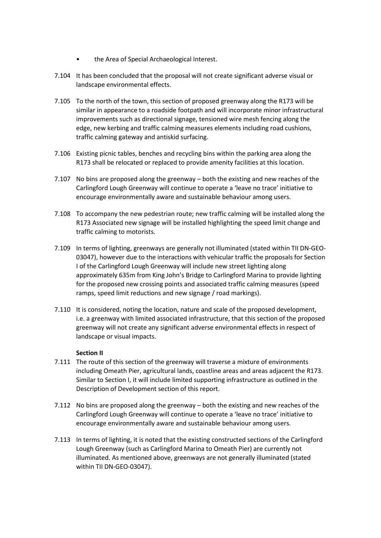- the Area of Special Archaeological Interest.
- 7.104 It has been concluded that the proposal will not create significant adverse visual or landscape environmental effects.
- 7.105 To the north of the town, this section of proposed greenway along the R173 will be similar in appearance to a roadside footpath and will incorporate minor infrastructural improvements such as directional signage, tensioned wire mesh fencing along the edge, new kerbing and traffic calming measures elements including road cushions, traffic calming gateway and antiskid surfacing.
- 7.106 Existing picnic tables, benches and recycling bins within the parking area along the R173 shall be relocated or replaced to provide amenity facilities at this location.
- 7.107 No bins are proposed along the greenway both the existing and new reaches of the Carlingford Lough Greenway will continue to operate a 'leave no trace' initiative to encourage environmentally aware and sustainable behaviour among users.
- 7.108 To accompany the new pedestrian route; new traffic calming will be installed along the R173 Associated new signage will be installed highlighting the speed limit change and traffic calming to motorists.
- 7.109 In terms of lighting, greenways are generally not illuminated (stated within TII DN-GEO-03047), however due to the interactions with vehicular traffic the proposals for Section I of the Carlingford Lough Greenway will include new street lighting along approximately 635m from King John's Bridge to Carlingford Marina to provide lighting for the proposed new crossing points and associated traffic calming measures (speed ramps, speed limit reductions and new signage / road markings).
- 7.110 It is considered, noting the location, nature and scale of the proposed development, i.e. a greenway with limited associated infrastructure, that this section of the proposed greenway will not create any significant adverse environmental effects in respect of landscape or visual impacts.

#### **Section II**

- 7.111 The route of this section of the greenway will traverse a mixture of environments including Omeath Pier, agricultural lands, coastline areas and areas adjacent the R173. Similar to Section I, it will include limited supporting infrastructure as outlined in the Description of Development section of this report.
- 7.112 No bins are proposed along the greenway both the existing and new reaches of the Carlingford Lough Greenway will continue to operate a 'leave no trace' initiative to encourage environmentally aware and sustainable behaviour among users.
- 7.113 In terms of lighting, it is noted that the existing constructed sections of the Carlingford Lough Greenway (such as Carlingford Marina to Omeath Pier) are currently not illuminated. As mentioned above, greenways are not generally illuminated (stated within TII DN-GEO-03047).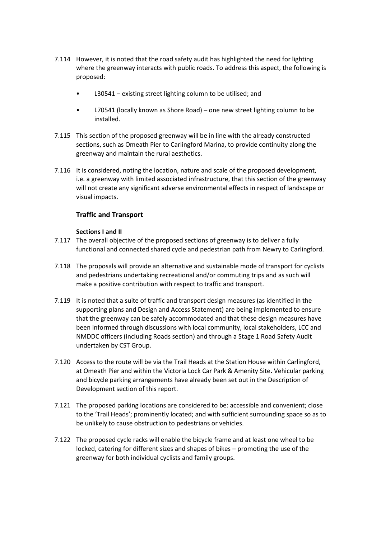- 7.114 However, it is noted that the road safety audit has highlighted the need for lighting where the greenway interacts with public roads. To address this aspect, the following is proposed:
	- L30541 existing street lighting column to be utilised; and
	- L70541 (locally known as Shore Road) one new street lighting column to be installed.
- 7.115 This section of the proposed greenway will be in line with the already constructed sections, such as Omeath Pier to Carlingford Marina, to provide continuity along the greenway and maintain the rural aesthetics.
- 7.116 It is considered, noting the location, nature and scale of the proposed development, i.e. a greenway with limited associated infrastructure, that this section of the greenway will not create any significant adverse environmental effects in respect of landscape or visual impacts.

# **Traffic and Transport**

#### **Sections I and II**

- 7.117 The overall objective of the proposed sections of greenway is to deliver a fully functional and connected shared cycle and pedestrian path from Newry to Carlingford.
- 7.118 The proposals will provide an alternative and sustainable mode of transport for cyclists and pedestrians undertaking recreational and/or commuting trips and as such will make a positive contribution with respect to traffic and transport.
- 7.119 It is noted that a suite of traffic and transport design measures (as identified in the supporting plans and Design and Access Statement) are being implemented to ensure that the greenway can be safely accommodated and that these design measures have been informed through discussions with local community, local stakeholders, LCC and NMDDC officers (including Roads section) and through a Stage 1 Road Safety Audit undertaken by CST Group.
- 7.120 Access to the route will be via the Trail Heads at the Station House within Carlingford, at Omeath Pier and within the Victoria Lock Car Park & Amenity Site. Vehicular parking and bicycle parking arrangements have already been set out in the Description of Development section of this report.
- 7.121 The proposed parking locations are considered to be: accessible and convenient; close to the 'Trail Heads'; prominently located; and with sufficient surrounding space so as to be unlikely to cause obstruction to pedestrians or vehicles.
- 7.122 The proposed cycle racks will enable the bicycle frame and at least one wheel to be locked, catering for different sizes and shapes of bikes – promoting the use of the greenway for both individual cyclists and family groups.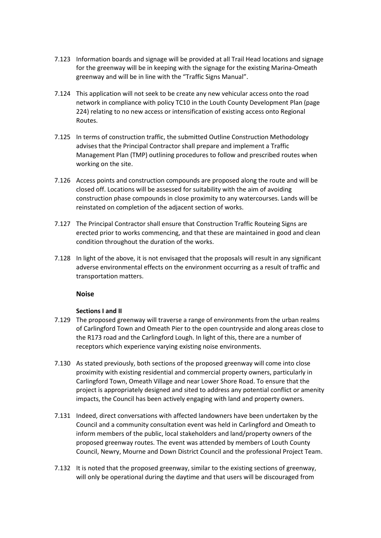- 7.123 Information boards and signage will be provided at all Trail Head locations and signage for the greenway will be in keeping with the signage for the existing Marina-Omeath greenway and will be in line with the "Traffic Signs Manual".
- 7.124 This application will not seek to be create any new vehicular access onto the road network in compliance with policy TC10 in the Louth County Development Plan (page 224) relating to no new access or intensification of existing access onto Regional Routes.
- 7.125 In terms of construction traffic, the submitted Outline Construction Methodology advises that the Principal Contractor shall prepare and implement a Traffic Management Plan (TMP) outlining procedures to follow and prescribed routes when working on the site.
- 7.126 Access points and construction compounds are proposed along the route and will be closed off. Locations will be assessed for suitability with the aim of avoiding construction phase compounds in close proximity to any watercourses. Lands will be reinstated on completion of the adjacent section of works.
- 7.127 The Principal Contractor shall ensure that Construction Traffic Routeing Signs are erected prior to works commencing, and that these are maintained in good and clean condition throughout the duration of the works.
- 7.128 In light of the above, it is not envisaged that the proposals will result in any significant adverse environmental effects on the environment occurring as a result of traffic and transportation matters.

# **Noise**

#### **Sections I and II**

- 7.129 The proposed greenway will traverse a range of environments from the urban realms of Carlingford Town and Omeath Pier to the open countryside and along areas close to the R173 road and the Carlingford Lough. In light of this, there are a number of receptors which experience varying existing noise environments.
- 7.130 As stated previously, both sections of the proposed greenway will come into close proximity with existing residential and commercial property owners, particularly in Carlingford Town, Omeath Village and near Lower Shore Road. To ensure that the project is appropriately designed and sited to address any potential conflict or amenity impacts, the Council has been actively engaging with land and property owners.
- 7.131 Indeed, direct conversations with affected landowners have been undertaken by the Council and a community consultation event was held in Carlingford and Omeath to inform members of the public, local stakeholders and land/property owners of the proposed greenway routes. The event was attended by members of Louth County Council, Newry, Mourne and Down District Council and the professional Project Team.
- 7.132 It is noted that the proposed greenway, similar to the existing sections of greenway, will only be operational during the daytime and that users will be discouraged from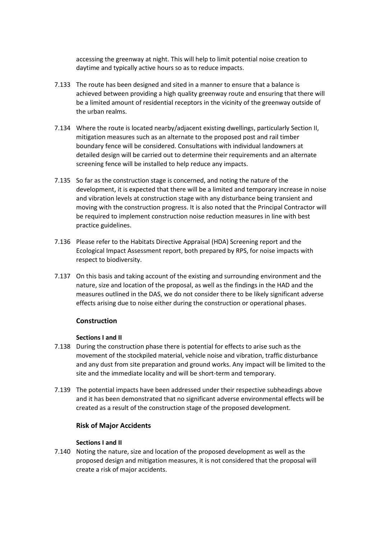accessing the greenway at night. This will help to limit potential noise creation to daytime and typically active hours so as to reduce impacts.

- 7.133 The route has been designed and sited in a manner to ensure that a balance is achieved between providing a high quality greenway route and ensuring that there will be a limited amount of residential receptors in the vicinity of the greenway outside of the urban realms.
- 7.134 Where the route is located nearby/adjacent existing dwellings, particularly Section II, mitigation measures such as an alternate to the proposed post and rail timber boundary fence will be considered. Consultations with individual landowners at detailed design will be carried out to determine their requirements and an alternate screening fence will be installed to help reduce any impacts.
- 7.135 So far as the construction stage is concerned, and noting the nature of the development, it is expected that there will be a limited and temporary increase in noise and vibration levels at construction stage with any disturbance being transient and moving with the construction progress. It is also noted that the Principal Contractor will be required to implement construction noise reduction measures in line with best practice guidelines.
- 7.136 Please refer to the Habitats Directive Appraisal (HDA) Screening report and the Ecological Impact Assessment report, both prepared by RPS, for noise impacts with respect to biodiversity.
- 7.137 On this basis and taking account of the existing and surrounding environment and the nature, size and location of the proposal, as well as the findings in the HAD and the measures outlined in the DAS, we do not consider there to be likely significant adverse effects arising due to noise either during the construction or operational phases.

# **Construction**

#### **Sections I and II**

- 7.138 During the construction phase there is potential for effects to arise such as the movement of the stockpiled material, vehicle noise and vibration, traffic disturbance and any dust from site preparation and ground works. Any impact will be limited to the site and the immediate locality and will be short-term and temporary.
- 7.139 The potential impacts have been addressed under their respective subheadings above and it has been demonstrated that no significant adverse environmental effects will be created as a result of the construction stage of the proposed development.

# **Risk of Major Accidents**

#### **Sections I and II**

7.140 Noting the nature, size and location of the proposed development as well as the proposed design and mitigation measures, it is not considered that the proposal will create a risk of major accidents.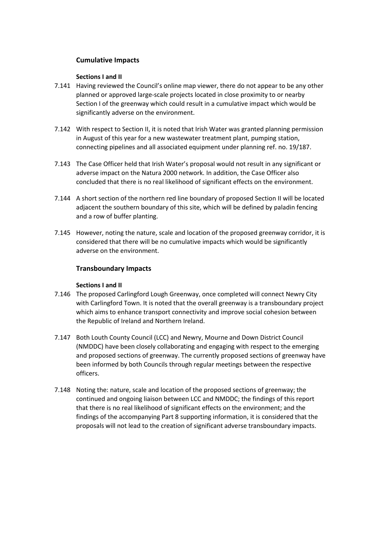# **Cumulative Impacts**

#### **Sections I and II**

- 7.141 Having reviewed the Council's online map viewer, there do not appear to be any other planned or approved large-scale projects located in close proximity to or nearby Section I of the greenway which could result in a cumulative impact which would be significantly adverse on the environment.
- 7.142 With respect to Section II, it is noted that Irish Water was granted planning permission in August of this year for a new wastewater treatment plant, pumping station, connecting pipelines and all associated equipment under planning ref. no. 19/187.
- 7.143 The Case Officer held that Irish Water's proposal would not result in any significant or adverse impact on the Natura 2000 network. In addition, the Case Officer also concluded that there is no real likelihood of significant effects on the environment.
- 7.144 A short section of the northern red line boundary of proposed Section II will be located adjacent the southern boundary of this site, which will be defined by paladin fencing and a row of buffer planting.
- 7.145 However, noting the nature, scale and location of the proposed greenway corridor, it is considered that there will be no cumulative impacts which would be significantly adverse on the environment.

# **Transboundary Impacts**

# **Sections I and II**

- 7.146 The proposed Carlingford Lough Greenway, once completed will connect Newry City with Carlingford Town. It is noted that the overall greenway is a transboundary project which aims to enhance transport connectivity and improve social cohesion between the Republic of Ireland and Northern Ireland.
- 7.147 Both Louth County Council (LCC) and Newry, Mourne and Down District Council (NMDDC) have been closely collaborating and engaging with respect to the emerging and proposed sections of greenway. The currently proposed sections of greenway have been informed by both Councils through regular meetings between the respective officers.
- 7.148 Noting the: nature, scale and location of the proposed sections of greenway; the continued and ongoing liaison between LCC and NMDDC; the findings of this report that there is no real likelihood of significant effects on the environment; and the findings of the accompanying Part 8 supporting information, it is considered that the proposals will not lead to the creation of significant adverse transboundary impacts.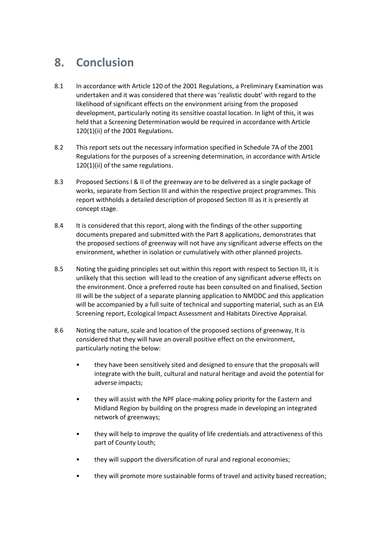# <span id="page-47-0"></span>**8. Conclusion**

- 8.1 In accordance with Article 120 of the 2001 Regulations, a Preliminary Examination was undertaken and it was considered that there was 'realistic doubt' with regard to the likelihood of significant effects on the environment arising from the proposed development, particularly noting its sensitive coastal location. In light of this, it was held that a Screening Determination would be required in accordance with Article 120(1)(ii) of the 2001 Regulations.
- 8.2 This report sets out the necessary information specified in Schedule 7A of the 2001 Regulations for the purposes of a screening determination, in accordance with Article 120(1)(ii) of the same regulations.
- 8.3 Proposed Sections I & II of the greenway are to be delivered as a single package of works, separate from Section III and within the respective project programmes. This report withholds a detailed description of proposed Section III as it is presently at concept stage.
- 8.4 It is considered that this report, along with the findings of the other supporting documents prepared and submitted with the Part 8 applications, demonstrates that the proposed sections of greenway will not have any significant adverse effects on the environment, whether in isolation or cumulatively with other planned projects.
- 8.5 Noting the guiding principles set out within this report with respect to Section III, it is unlikely that this section will lead to the creation of any significant adverse effects on the environment. Once a preferred route has been consulted on and finalised, Section III will be the subject of a separate planning application to NMDDC and this application will be accompanied by a full suite of technical and supporting material, such as an EIA Screening report, Ecological Impact Assessment and Habitats Directive Appraisal.
- 8.6 Noting the nature, scale and location of the proposed sections of greenway, It is considered that they will have an overall positive effect on the environment, particularly noting the below:
	- they have been sensitively sited and designed to ensure that the proposals will integrate with the built, cultural and natural heritage and avoid the potential for adverse impacts;
	- they will assist with the NPF place-making policy priority for the Eastern and Midland Region by building on the progress made in developing an integrated network of greenways;
	- they will help to improve the quality of life credentials and attractiveness of this part of County Louth;
	- they will support the diversification of rural and regional economies;
	- they will promote more sustainable forms of travel and activity based recreation;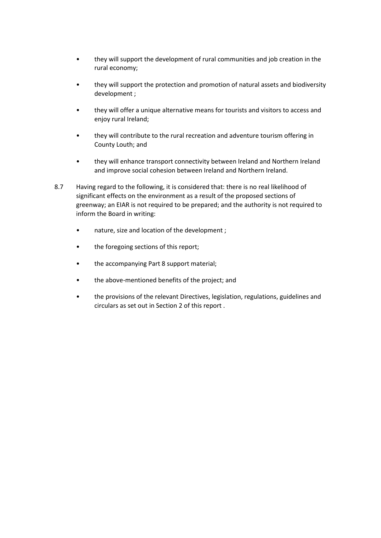- they will support the development of rural communities and job creation in the rural economy;
- they will support the protection and promotion of natural assets and biodiversity development ;
- they will offer a unique alternative means for tourists and visitors to access and enjoy rural Ireland;
- they will contribute to the rural recreation and adventure tourism offering in County Louth; and
- they will enhance transport connectivity between Ireland and Northern Ireland and improve social cohesion between Ireland and Northern Ireland.
- 8.7 Having regard to the following, it is considered that: there is no real likelihood of significant effects on the environment as a result of the proposed sections of greenway; an EIAR is not required to be prepared; and the authority is not required to inform the Board in writing:
	- nature, size and location of the development ;
	- the foregoing sections of this report;
	- the accompanying Part 8 support material;
	- the above-mentioned benefits of the project; and
	- the provisions of the relevant Directives, legislation, regulations, guidelines and circulars as set out in Section 2 of this report .